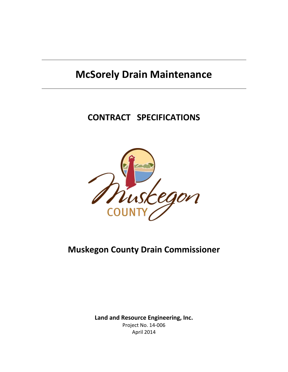# **McSorely Drain Maintenance**

# **CONTRACT SPECIFICATIONS**



# **Muskegon County Drain Commissioner**

**Land and Resource Engineering, Inc.** Project No. 14-006 April 2014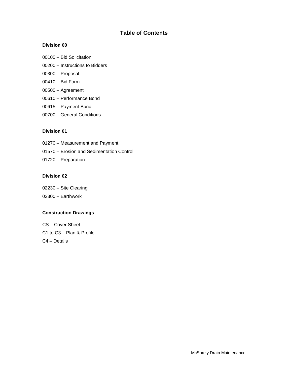# **Table of Contents**

# **Division 00**

- 00100 Bid Solicitation
- 00200 Instructions to Bidders
- 00300 Proposal
- 00410 Bid Form
- 00500 Agreement
- 00610 Performance Bond
- 00615 Payment Bond
- 00700 General Conditions

# **Division 01**

- 01270 Measurement and Payment
- 01570 Erosion and Sedimentation Control
- 01720 Preparation

# **Division 02**

- 02230 Site Clearing
- 02300 Earthwork

# **Construction Drawings**

CS – Cover Sheet C1 to C3 – Plan & Profile C4 – Details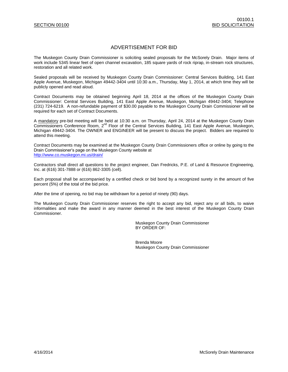# ADVERTISEMENT FOR BID

The Muskegon County Drain Commissioner is soliciting sealed proposals for the McSorely Drain. Major items of work include 5345 linear feet of open channel excavation, 185 square yards of rock riprap, in-stream rock structures, restoration and all related work.

Sealed proposals will be received by Muskegon County Drain Commissioner: Central Services Building, 141 East Apple Avenue, Muskegon, Michigan 49442-3404 until 10:30 a.m., Thursday, May 1, 2014, at which time they will be publicly opened and read aloud.

Contract Documents may be obtained beginning April 18, 2014 at the offices of the Muskegon County Drain Commissioner: Central Services Building, 141 East Apple Avenue, Muskegon, Michigan 49442-3404; Telephone (231) 724-6219. A non-refundable payment of \$30.00 payable to the Muskegon County Drain Commissioner will be required for each set of Contract Documents.

A mandatory pre-bid meeting will be held at 10:30 a.m. on Thursday, April 24, 2014 at the Muskegon County Drain Commissioners Conference Room, 2<sup>nd</sup> Floor of the Central Services Building, 141 East Apple Avenue, Muskegon, Michigan 49442-3404. The OWNER and ENGINEER will be present to discuss the project. Bidders are required to attend this meeting.

Contract Documents may be examined at the Muskegon County Drain Commissioners office or online by going to the Drain Commissioner's page on the Muskegon County website at <http://www.co.muskegon.mi.us/drain/>

Contractors shall direct all questions to the project engineer, Dan Fredricks, P.E. of Land & Resource Engineering, Inc. at (616) 301-7888 or (616) 862-3305 (cell).

Each proposal shall be accompanied by a certified check or bid bond by a recognized surety in the amount of five percent (5%) of the total of the bid price.

After the time of opening, no bid may be withdrawn for a period of ninety (90) days.

The Muskegon County Drain Commissioner reserves the right to accept any bid, reject any or all bids, to waive informalities and make the award in any manner deemed in the best interest of the Muskegon County Drain Commissioner.

> Muskegon County Drain Commissioner BY ORDER OF:

Brenda Moore Muskegon County Drain Commissioner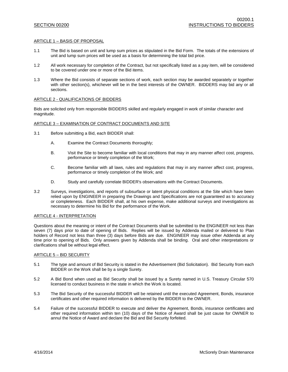#### ARTICLE 1 – BASIS OF PROPOSAL

- 1.1 The Bid is based on unit and lump sum prices as stipulated in the Bid Form. The totals of the extensions of unit and lump sum prices will be used as a basis for determining the total bid price.
- 1.2 All work necessary for completion of the Contract, but not specifically listed as a pay item, will be considered to be covered under one or more of the Bid items.
- 1.3 Where the Bid consists of separate sections of work, each section may be awarded separately or together with other section(s), whichever will be in the best interests of the OWNER. BIDDERS may bid any or all sections.

### ARTICLE 2 - QUALIFICATIONS OF BIDDERS

Bids are solicited only from responsible BIDDERS skilled and regularly engaged in work of similar character and magnitude.

### ARTICLE 3 – EXAMINATION OF CONTRACT DOCUMENTS AND SITE

- 3.1 Before submitting a Bid, each BIDDER shall:
	- A. Examine the Contract Documents thoroughly;
	- B. Visit the Site to become familiar with local conditions that may in any manner affect cost, progress, performance or timely completion of the Work;
	- C. Become familiar with all laws, rules and regulations that may in any manner affect cost, progress, performance or timely completion of the Work; and
	- D. Study and carefully correlate BIDDER's observations with the Contract Documents.
- 3.2 Surveys, investigations, and reports of subsurface or latent physical conditions at the Site which have been relied upon by ENGINEER in preparing the Drawings and Specifications are not guaranteed as to accuracy or completeness. Each BIDDER shall, at his own expense, make additional surveys and investigations as necessary to determine his Bid for the performance of the Work.

#### ARTICLE 4 - INTERPRETATION

Questions about the meaning or intent of the Contract Documents shall be submitted to the ENGINEER not less than seven (7) days prior to date of opening of Bids. Replies will be issued by Addenda mailed or delivered to Plan holders of Record not less than three (3) days before Bids are due. ENGINEER may issue other Addenda at any time prior to opening of Bids. Only answers given by Addenda shall be binding. Oral and other interpretations or clarifications shall be without legal effect.

#### ARTICLE 5 – BID SECURITY

- 5.1 The type and amount of Bid Security is stated in the Advertisement (Bid Solicitation). Bid Security from each BIDDER on the Work shall be by a single Surety.
- 5.2 A Bid Bond when used as Bid Security shall be issued by a Surety named in U.S. Treasury Circular 570 licensed to conduct business in the state in which the Work is located.
- 5.3 The Bid Security of the successful BIDDER will be retained until the executed Agreement, Bonds, insurance certificates and other required information is delivered by the BIDDER to the OWNER.
- 5.4 Failure of the successful BIDDER to execute and deliver the Agreement, Bonds, insurance certificates and other required information within ten (10) days of the Notice of Award shall be just cause for OWNER to annul the Notice of Award and declare the Bid and Bid Security forfeited.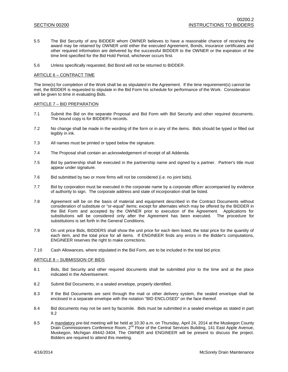- 5.5 The Bid Security of any BIDDER whom OWNER believes to have a reasonable chance of receiving the award may be retained by OWNER until either the executed Agreement, Bonds, insurance certificates and other required information are delivered by the successful BIDDER to the OWNER or the expiration of the time limit specified for the Bid Hold Period, whichever occurs first.
- 5.6 Unless specifically requested, Bid Bond will not be returned to BIDDER.

### ARTICLE 6 – CONTRACT TIME

The time(s) for completion of the Work shall be as stipulated in the Agreement. If the time requirement(s) cannot be met, the BIDDER is requested to stipulate in the Bid Form his schedule for performance of the Work. Consideration will be given to time in evaluating Bids.

#### ARTICLE 7 – BID PREPARATION

- 7.1 Submit the Bid on the separate Proposal and Bid Form with Bid Security and other required documents. The bound copy is for BIDDER's records.
- 7.2 No change shall be made in the wording of the form or in any of the items. Bids should be typed or filled out legibly in ink.
- 7.3 All names must be printed or typed below the signature.
- 7.4 The Proposal shall contain an acknowledgement of receipt of all Addenda.
- 7.5 Bid by partnership shall be executed in the partnership name and signed by a partner. Partner's title must appear under signature.
- 7.6 Bid submitted by two or more firms will not be considered (i.e. no joint bids).
- 7.7 Bid by corporation must be executed in the corporate name by a corporate officer accompanied by evidence of authority to sign. The corporate address and state of incorporation shall be listed.
- 7.8 Agreement will be on the basis of material and equipment described in the Contract Documents without consideration of substitute or "or-equal" items; except for alternates which may be offered by the BIDDER in the Bid Form and accepted by the OWNER prior to execution of the Agreement. Applications for substitutions will be considered only after the Agreement has been executed. The procedure for substitutions is set forth in the General Conditions.
- 7.9 On unit price Bids, BIDDERS shall show the unit price for each item listed, the total price for the quantity of each item, and the total price for all items. If ENGINEER finds any errors in the Bidder's computations, ENGINEER reserves the right to make corrections.
- 7.10 Cash Allowances, where stipulated in the Bid Form, are to be included in the total bid price.

#### ARTICLE 8 – SUBMISSION OF BIDS

- 8.1 Bids, Bid Security and other required documents shall be submitted prior to the time and at the place indicated in the Advertisement.
- 8.2 Submit Bid Documents, in a sealed envelope, properly identified.
- 8.3 If the Bid Documents are sent through the mail or other delivery system, the sealed envelope shall be enclosed in a separate envelope with the notation "BID ENCLOSED" on the face thereof.
- 8.4 Bid documents may not be sent by facsimile. Bids must be submitted in a sealed envelope as stated in part 9.2
- 8.5 A mandatory pre-bid meeting will be held at 10:30 a.m. on Thursday, April 24, 2014 at the Muskegon County Drain Commissioners Conference Room, 2<sup>nd</sup> Floor of the Central Services Building, 141 East Apple Avenue, Muskegon, Michigan 49442-3404. The OWNER and ENGINEER will be present to discuss the project. Bidders are required to attend this meeting.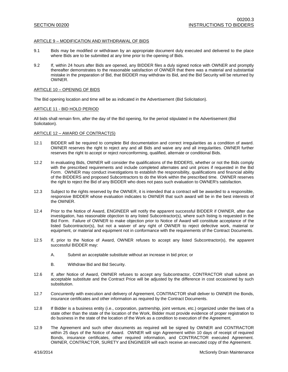#### ARTICLE 9 – MODIFICATION AND WITHDRAWAL OF BIDS

- 9.1 Bids may be modified or withdrawn by an appropriate document duly executed and delivered to the place where Bids are to be submitted at any time prior to the opening of Bids.
- 9.2 If, within 24 hours after Bids are opened, any BIDDER files a duly signed notice with OWNER and promptly thereafter demonstrates to the reasonable satisfaction of OWNER that there was a material and substantial mistake in the preparation of Bid, that BIDDER may withdraw its Bid, and the Bid Security will be returned by OWNER.

#### ARTICLE 10 – OPENING OF BIDS

The Bid opening location and time will be as indicated in the Advertisement (Bid Solicitation).

#### ARTICLE 11 - BID HOLD PERIOD

All bids shall remain firm, after the day of the Bid opening, for the period stipulated in the Advertisement (Bid Solicitation).

#### ARTICLE 12 – AWARD OF CONTRACT(S)

- 12.1 BIDDER will be required to complete Bid documentation and correct irregularities as a condition of award. OWNER reserves the right to reject any and all Bids and waive any and all irregularities. OWNER further reserves the right to accept or reject nonconforming, qualified, alternate or conditional Bids.
- 12.2 In evaluating Bids, OWNER will consider the qualifications of the BIDDERS, whether or not the Bids comply with the prescribed requirements and include completed alternates and unit prices if requested in the Bid Form. OWNER may conduct investigations to establish the responsibility, qualifications and financial ability of the BIDDERS and proposed Subcontractors to do the Work within the prescribed time. OWNER reserves the right to reject the Bid of any BIDDER who does not pass such evaluation to OWNER's satisfaction.
- 12.3 Subject to the rights reserved by the OWNER, it is intended that a contract will be awarded to a responsible, responsive BIDDER whose evaluation indicates to OWNER that such award will be in the best interests of the OWNER.
- 12.4 Prior to the Notice of Award, ENGINEER will notify the apparent successful BIDDER if OWNER, after due investigation, has reasonable objection to any listed Subcontractor(s), where such listing is requested in the Bid Form. Failure of OWNER to make objection prior to Notice of Award will constitute acceptance of the listed Subcontractor(s), but not a waiver of any right of OWNER to reject defective work, material or equipment, or material and equipment not in conformance with the requirements of the Contract Documents.
- 12.5 If, prior to the Notice of Award, OWNER refuses to accept any listed Subcontractor(s), the apparent successful BIDDER may:
	- A. Submit an acceptable substitute without an increase in bid price; or
	- B. Withdraw Bid and Bid Security.
- 12.6 If, after Notice of Award, OWNER refuses to accept any Subcontractor, CONTRACTOR shall submit an acceptable substitute and the Contract Price will be adjusted by the difference in cost occasioned by such substitution.
- 12.7 Concurrently with execution and delivery of Agreement, CONTRACTOR shall deliver to OWNER the Bonds, insurance certificates and other information as required by the Contract Documents.
- 12.8 If Bidder is a business entity (i.e., corporation, partnership, joint venture, etc.) organized under the laws of a state other than the state of the location of the Work, Bidder must provide evidence of proper registration to do business in the state of the location of the Work as a condition to execution of the Agreement.
- 12.9 The Agreement and such other documents as required will be signed by OWNER and CONTRACTOR within 25 days of the Notice of Award. OWNER will sign Agreement within 10 days of receipt of required Bonds, insurance certificates, other required information, and CONTRACTOR executed Agreement. OWNER, CONTRACTOR, SURETY and ENGINEER will each receive an executed copy of the Agreement.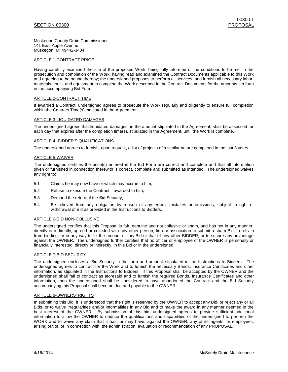### SECTION 00300 PROPOSAL

Muskegon County Drain Commissioner 141 East Apple Avenue Muskegon, MI 49442-3404

#### ARTICLE 1-CONTRACT PRICE

Having carefully examined the site of the proposed Work; being fully informed of the conditions to be met in the prosecution and completion of the Work; having read and examined the Contract Documents applicable to this Work and agreeing to be bound thereby; the undersigned proposes to perform all services, and furnish all necessary labor, materials, tools, and equipment to complete the Work described in the Contract Documents for the amounts set forth in the accompanying Bid Form.

#### ARTICLE 2-CONTRACT TIME

If awarded a Contract, undersigned agrees to prosecute the Work regularly and diligently to ensure full completion within the Contract Time(s) indicated in the Agreement.

#### ARTICLE 3-LIQUIDATED DAMAGES

The undersigned agrees that liquidated damages, in the amount stipulated in the Agreement, shall be assessed for each day that expires after the completion time(s), stipulated in the Agreement, until the Work is complete.

#### ARTICLE 4 -BIDDER'S QUALIFICATIONS

The undersigned agrees to furnish, upon request, a list of projects of a similar nature completed in the last 3 years.

#### ARTICLE 5-WAIVER

The undersigned certifies the price(s) entered in the Bid Form are correct and complete and that all information given or furnished in connection therewith is correct, complete and submitted as intended. The undersigned waives any right to:

- 5.1 Claims he may now have or which may accrue to him,
- 5.2 Refuse to execute the Contract if awarded to him,
- 5.3 Demand the return of the Bid Security,
- 5.4 Be relieved from any obligation by reason of any errors, mistakes or omissions, subject to right of withdrawal of Bid as provided in the Instructions to Bidders.

#### ARTICLE 6-BID NON-COLLUSIVE

The undersigned certifies that this Proposal is fair, genuine and not collusive or sham, and has not in any manner, directly or indirectly, agreed or colluded with any other person, firm or association to submit a sham Bid, to refrain from bidding, or in any way to fix the amount of this Bid or that of any other BIDDER, or to secure any advantage against the OWNER. The undersigned further certifies that no officer or employee of the OWNER is personally or financially interested, directly or indirectly, in this Bid or in the undersigned.

#### ARTICLE 7-BID SECURITY

The undersigned encloses a Bid Security in the form and amount stipulated in the Instructions to Bidders. The undersigned agrees to contract for the Work and to furnish the necessary Bonds, Insurance Certificates and other information, as stipulated in the Instructions to Bidders. If this Proposal shall be accepted by the OWNER and the undersigned shall fail to contract as aforesaid and to furnish the required Bonds, Insurance Certificates and other information, then the undersigned shall be considered to have abandoned the Contract and the Bid Security accompanying this Proposal shall become due and payable to the OWNER.

#### ARTICLE 8-OWNERS' RIGHTS

In submitting this Bid, it is understood that the right is reserved by the OWNER to accept any Bid, or reject any or all Bids, or to waive irregularities and/or informalities in any Bid and to make the award in any manner deemed in the best interest of the OWNER. By submission of this bid, undersigned agrees to provide sufficient additional information to allow the OWNER to deduce the qualifications and capabilities of the undersigned to perform the WORK and to waive any claim that it has, or may have, against the OWNER, any of its agents, or employees, arising out of, or in connection with, the administration, evaluation or recommendation of any PROPOSAL.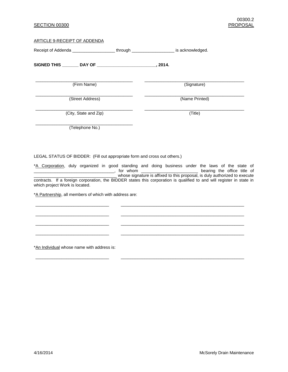# SECTION 00300 PROPOSAL

#### ARTICLE 9-RECEIPT OF ADDENDA

| Receipt of Addenda ____________________through ______________________ is acknowledged. |  |                |
|----------------------------------------------------------------------------------------|--|----------------|
| SIGNED THIS ________ DAY OF _______________________                                    |  | . 2014.        |
| (Firm Name)                                                                            |  | (Signature)    |
| (Street Address)                                                                       |  | (Name Printed) |
| (City, State and Zip)                                                                  |  | (Title)        |
| (Telephone No.)                                                                        |  |                |
|                                                                                        |  |                |

LEGAL STATUS OF BIDDER: (Fill out appropriate form and cross out others.)

\*A Corporation, duly organized in good standing and doing business under the laws of the state of \_\_\_\_\_\_\_\_\_\_\_\_\_\_\_\_\_\_\_\_\_\_\_\_\_\_\_\_\_\_\_\_\_\_, for whom \_\_\_\_\_\_\_\_\_\_\_\_\_\_\_\_\_\_\_\_\_\_\_\_ bearing the office title of \_\_\_\_\_\_\_\_\_\_\_\_\_\_\_\_\_\_\_\_\_\_\_\_\_\_\_\_\_\_\_\_\_\_\_ whose signature is affixed to this proposal, is duly authorized to execute contracts. If a foreign corporation, the BIDDER states this corporation is qualified to and will register in state in which project Work is located.

\_\_\_\_\_\_\_\_\_\_\_\_\_\_\_\_\_\_\_\_\_\_\_\_\_\_\_\_\_\_\_ \_\_\_\_\_\_\_\_\_\_\_\_\_\_\_\_\_\_\_\_\_\_\_\_\_\_\_\_\_\_\_\_\_\_\_\_\_\_\_\_\_\_\_\_\_\_\_\_\_\_\_\_

\_\_\_\_\_\_\_\_\_\_\_\_\_\_\_\_\_\_\_\_\_\_\_\_\_\_\_\_\_\_\_ \_\_\_\_\_\_\_\_\_\_\_\_\_\_\_\_\_\_\_\_\_\_\_\_\_\_\_\_\_\_\_\_\_\_\_\_\_\_\_\_\_\_\_\_\_\_\_\_\_\_\_\_

\_\_\_\_\_\_\_\_\_\_\_\_\_\_\_\_\_\_\_\_\_\_\_\_\_\_\_\_\_\_\_ \_\_\_\_\_\_\_\_\_\_\_\_\_\_\_\_\_\_\_\_\_\_\_\_\_\_\_\_\_\_\_\_\_\_\_\_\_\_\_\_\_\_\_\_\_\_\_\_\_\_\_\_

\_\_\_\_\_\_\_\_\_\_\_\_\_\_\_\_\_\_\_\_\_\_\_\_\_\_\_\_\_\_\_ \_\_\_\_\_\_\_\_\_\_\_\_\_\_\_\_\_\_\_\_\_\_\_\_\_\_\_\_\_\_\_\_\_\_\_\_\_\_\_\_\_\_\_\_\_\_\_\_\_\_\_\_

\_\_\_\_\_\_\_\_\_\_\_\_\_\_\_\_\_\_\_\_\_\_\_\_\_\_\_\_\_\_\_ \_\_\_\_\_\_\_\_\_\_\_\_\_\_\_\_\_\_\_\_\_\_\_\_\_\_\_\_\_\_\_\_\_\_\_\_\_\_\_\_\_\_\_\_\_\_\_\_\_\_\_\_

\*A Partnership, all members of which with address are:

\*An Individual whose name with address is: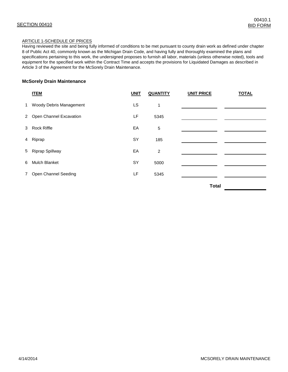# ARTICLE 1-SCHEDULE OF PRICES

Having reviewed the site and being fully informed of conditions to be met pursuant to county drain work as defined under chapter 8 of Public Act 40, commonly known as the Michigan Drain Code, and having fully and thoroughly examined the plans and specifications pertaining to this work, the undersigned proposes to furnish all labor, materials (unless otherwise noted), tools and equipment for the specified work within the Contract Time and accepts the provisions for Liquidated Damages as described in Article 3 of the Agreement for the McSorely Drain Maintenance.

# **McSorely Drain Maintenance**

|              | <b>ITEM</b>               | <b>UNIT</b> | <b>QUANTITY</b> | <b>UNIT PRICE</b> | <b>TOTAL</b> |
|--------------|---------------------------|-------------|-----------------|-------------------|--------------|
| $\mathbf{1}$ | Woody Debris Management   | LS          | 1               |                   |              |
|              | 2 Open Channel Excavation | LF          | 5345            |                   |              |
|              | 3 Rock Riffle             | EA          | 5               |                   |              |
|              | 4 Riprap                  | SY          | 185             |                   |              |
|              | 5 Riprap Spillway         | EA          | 2               |                   |              |
| 6            | <b>Mulch Blanket</b>      | <b>SY</b>   | 5000            |                   |              |
| $7^{\circ}$  | Open Channel Seeding      | LF          | 5345            |                   |              |
|              |                           |             |                 | - - -             |              |

 **Total**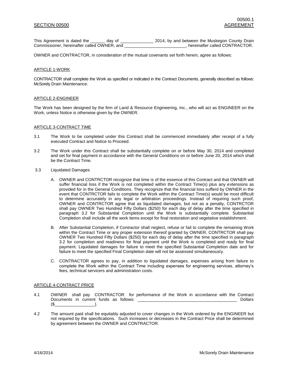This Agreement is dated the \_\_\_\_\_\_ day of \_\_\_\_\_\_\_\_\_\_\_\_\_\_\_\_\_\_\_ 2014, by and between the Muskegon County Drain Commissioner, hereinafter called OWNER, and <br>Referring the reduced CONTRACTOR, and the previous presention of the Commissioner, hereinafter called CONTRACTOR.

OWNER and CONTRACTOR, in consideration of the mutual covenants set forth herein, agree as follows:

#### ARTICLE 1-WORK

CONTRACTOR shall complete the Work as specified or indicated in the Contract Documents, generally described as follows: McSorely Drain Maintenance.

#### ARTICLE 2-ENGINEER

The Work has been designed by the firm of Land & Resource Engineering, Inc., who will act as ENGINEER on the Work, unless Notice is otherwise given by the OWNER.

#### ARTICLE 3-CONTRACT TIME

- 3.1 The Work to be completed under this Contract shall be commenced immediately after receipt of a fully executed Contract and Notice to Proceed.
- 3.2 The Work under this Contract shall be substantially complete on or before May 30, 2014 and completed and set for final payment in accordance with the General Conditions on or before June 20, 2014 which shall be the Contract Time.
- 3.3 Liquidated Damages
	- A. OWNER and CONTRCTOR recognize that time is of the essence of this Contract and that OWNER will suffer financial loss if the Work is not completed within the Contract Time(s) plus any extensions as provided for in the General Conditions. They recognize that the financial loss sufferd by OWNER in the event that CONTRCTOR fails to complete the Work within the Contract Time(s) would be most difficult to determine accurately in any legal or arbitration proceedings. Instead of requiring such proof, OWNER and CONTRCTOR agree that as liquidated damages, but not as a penalty, CONTRCTOR shall pay OWNER Two Hundred Fifty Dollars (\$250) for each day of delay after the time specified in paragraph 3.2 for Substantial Completion until the Work is substantially complete. Substantial Completion shall include all the work items except for final restoration and vegetative establishment.
	- B. After Substantial Completion, if Contractor shall neglect, refuse or fail to complete the remaining Work within the Contract Time or any proper extension thereof granted by OWNER, CONTRCTOR shall pay OWNER Two Hundred Fifty Dollars (\$250) for each day of delay after the time specified in paragraph 3.2 for completion and readiness for final payment until the Work is completed and ready for final payment. Liquidated damages for failure to meet the specified Substantial Completion date and for failure to meet the specified Final Completion date will not be assessed simultaneously.
	- C. CONTRACTOR agrees to pay, in addition to liquidated damages, expenses arising from failure to complete the Work within the Contract Time including expenses for engineering services, attorney's fees, technical servicers and administration costs.

#### ARTICLE 4-CONTRACT PRICE

- 4.1 OWNER shall pay CONTRACTOR for performance of the Work in accordance with the Contract Documents in current funds as follows: \_\_\_\_\_\_\_\_\_\_\_\_\_\_\_\_\_\_\_\_\_\_\_\_\_\_\_\_\_\_\_\_\_\_\_\_\_\_\_\_\_\_ Dollars  $(\$$
- 4.2 The amount paid shall be equitably adjusted to cover changes in the Work ordered by the ENGINEER but not required by the specifications. Such increases or decreases in the Contract Price shall be determined by agreement between the OWNER and CONTRACTOR.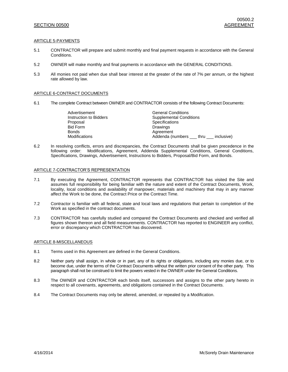### SECTION 00500 AGREEMENT

### ARTICLE 5-PAYMENTS

- 5.1 CONTRACTOR will prepare and submit monthly and final payment requests in accordance with the General Conditions.
- 5.2 OWNER will make monthly and final payments in accordance with the GENERAL CONDITIONS.
- 5.3 All monies not paid when due shall bear interest at the greater of the rate of 7% per annum, or the highest rate allowed by law.

#### ARTICLE 6-CONTRACT DOCUMENTS

6.1 The complete Contract between OWNER and CONTRACTOR consists of the following Contract Documents:

| Advertisement          | <b>General Conditions</b>                   |  |  |  |
|------------------------|---------------------------------------------|--|--|--|
| Instruction to Bidders | <b>Supplemental Conditions</b>              |  |  |  |
| Proposal               | Specifications                              |  |  |  |
| Bid Form               | Drawings                                    |  |  |  |
| Bonds                  | Agreement                                   |  |  |  |
| Modifications          | Addenda (numbers ___ thru ___<br>inclusive) |  |  |  |

6.2 In resolving conflicts, errors and discrepancies, the Contract Documents shall be given precedence in the following order: Modifications, Agreement, Addenda Supplemental Conditions, General Conditions, Specifications, Drawings, Advertisement, Instructions to Bidders, Proposal/Bid Form, and Bonds.

#### ARTICLE 7-CONTRACTOR'S REPRESENTATION

- 7.1 By executing the Agreement, CONTRACTOR represents that CONTRACTOR has visited the Site and assumes full responsibility for being familiar with the nature and extent of the Contract Documents, Work, locality, local conditions and availability of manpower, materials and machinery that may in any manner affect the Work to be done, the Contract Price or the Contract Time.
- 7.2 Contractor is familiar with all federal, state and local laws and regulations that pertain to completion of the Work as specified in the contract documents.
- 7.3 CONTRACTOR has carefully studied and compared the Contract Documents and checked and verified all figures shown thereon and all field measurements. CONTRACTOR has reported to ENGINEER any conflict, error or discrepancy which CONTRACTOR has discovered.

#### ARTICLE 8-MISCELLANEOUS

- 8.1 Terms used in this Agreement are defined in the General Conditions.
- 8.2 Neither party shall assign, in whole or in part, any of its rights or obligations, including any monies due, or to become due, under the terms of the Contract Documents without the written prior consent of the other party. This paragraph shall not be construed to limit the powers vested in the OWNER under the General Conditions.
- 8.3 The OWNER and CONTRACTOR each binds itself, successors and assigns to the other party hereto in respect to all covenants, agreements, and obligations contained in the Contract Documents.
- 8.4 The Contract Documents may only be altered, amended, or repealed by a Modification.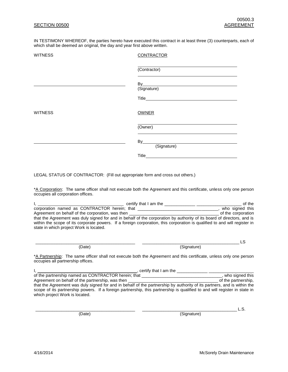IN TESTIMONY WHEREOF, the parties hereto have executed this contract in at least three (3) counterparts, each of which shall be deemed an original, the day and year first above written.

| <b>WITNESS</b> | <b>CONTRACTOR</b> |
|----------------|-------------------|
|                | (Contractor)      |
|                | By<br>(Signature) |
|                |                   |
| <b>WITNESS</b> | <b>OWNER</b>      |
|                | (Owner)           |
|                | By<br>(Signature) |
|                | Title             |

LEGAL STATUS OF CONTRACTOR: (Fill out appropriate form and cross out others.)

\*A Corporation: The same officer shall not execute both the Agreement and this certificate, unless only one person occupies all corporation offices.

|                                                  | certify that I am the<br>of the                                                                                                                                                                                                                     |
|--------------------------------------------------|-----------------------------------------------------------------------------------------------------------------------------------------------------------------------------------------------------------------------------------------------------|
| corporation named as CONTRACTOR herein; that     | who signed this                                                                                                                                                                                                                                     |
| Agreement on behalf of the corporation, was then | of the corporation                                                                                                                                                                                                                                  |
| state in which project Work is located.          | that the Agreement was duly signed for and in behalf of the corporation by authority of its board of directors, and is<br>within the scope of its corporate powers. If a foreign corporation, this corporation is qualified to and will register in |

\_\_\_\_\_\_\_\_\_\_\_\_\_\_\_\_\_\_\_\_\_\_\_\_\_\_\_\_\_\_\_\_\_\_\_\_\_\_\_\_\_\_ \_\_\_\_\_\_\_\_\_\_\_\_\_\_\_\_\_\_\_\_\_\_\_\_\_\_\_\_\_\_\_\_\_\_\_\_\_\_\_\_\_ LS (Date) (Signature)

\*A Partnership: The same officer shall not execute both the Agreement and this certificate, unless only one person occupies all partnership offices.

| certify that I am the                                                                                                                                       |                     |
|-------------------------------------------------------------------------------------------------------------------------------------------------------------|---------------------|
| of the partnership named as CONTRACTOR herein; that                                                                                                         | who signed this     |
| Agreement on behalf of the partnership, was then                                                                                                            | of the partnership. |
| that the Agreement was duly signed for and in behalf of the partnership by authority of its partners, and is within the                                     |                     |
| scope of its partnership powers. If a foreign partnership, this partnership is qualified to and will register in state in<br>which project Work is located. |                     |

(Date) (Signature)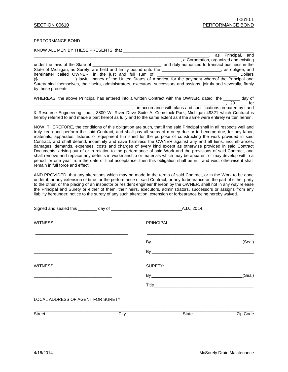#### PERFORMANCE BOND

KNOW ALL MEN BY THESE PRESENTS, that

|                                                                                                                       | as Principal, and                               |                |
|-----------------------------------------------------------------------------------------------------------------------|-------------------------------------------------|----------------|
|                                                                                                                       | a Corporation, organized and existing           |                |
| under the laws of the State of                                                                                        | and duly authorized to transact business in the |                |
| State of Michigan, as Surety, are held and firmly bound unto the                                                      | , as obligee, and                               |                |
| hereinafter called OWNER, in the just and full sum of                                                                 | <u> 1980 - Jan Samuel Barbara, martin d</u>     | <b>Dollars</b> |
| ) lawful money of the United States of America, for the payment whereof the Principal and<br>$(S_{\text{max}})$       |                                                 |                |
| Surety bind themselves, their heirs, administrators, executors, successors and assigns, jointly and severally, firmly |                                                 |                |
| by these presents.                                                                                                    |                                                 |                |
|                                                                                                                       |                                                 |                |

| WHEREAS, the above Principal has entered into a written Contract with the OWNER, dated the |  |  |  |  |  |  |  |                                                              | dav of |
|--------------------------------------------------------------------------------------------|--|--|--|--|--|--|--|--------------------------------------------------------------|--------|
|                                                                                            |  |  |  |  |  |  |  |                                                              | for    |
|                                                                                            |  |  |  |  |  |  |  | in accordance with plans and specifications prepared by Land |        |

& Resource Engineering, Inc. , 3800 W. River Drive Suite A, Comstock Park, Michigan 49321 which Contract is hereby referred to and made a part hereof as fully and to the same extent as if the same were entirely written herein.

NOW, THEREFORE, the conditions of this obligation are such, that if the said Principal shall in all respects well and truly keep and perform the said Contract, and shall pay all sums of money due or to become due, for any labor, materials, apparatus, fixtures or equipment furnished for the purpose of constructing the work provided in said Contract, and shall defend, indemnify and save harmless the OWNER against any and all liens, incumbrances, damages, demands, expenses, costs and charges of every kind except as otherwise provided in said Contract Documents, arising out of or in relation to the performance of said Work and the provisions of said Contract, and shall remove and replace any defects in workmanship or materials which may be apparent or may develop within a period for one year from the date of final acceptance, then this obligation shall be null and void; otherwise it shall remain in full force and effect;

AND PROVIDED, that any alterations which may be made in the terms of said Contract, or in the Work to be done under it, or any extension of time for the performance of said Contract, or any forbearance on the part of either party to the other, or the placing of an inspector or resident engineer thereon by the OWNER, shall not in any way release the Principal and Surety or either of them, their heirs, executors, administrators, successors or assigns from any liability hereunder; notice to the surety of any such alteration, extension or forbearance being hereby waived.

| WITNESS:                                                                                                               |      | PRINCIPAL: |          |
|------------------------------------------------------------------------------------------------------------------------|------|------------|----------|
| <u> 1989 - Johann John Stoff, deutscher Stoffen und der Stoffen und der Stoffen und der Stoffen und der Stoffen un</u> |      |            | (Seal)   |
| WITNESS:                                                                                                               |      | SURETY:    |          |
|                                                                                                                        |      |            | (Seal)   |
| LOCAL ADDRESS OF AGENT FOR SURETY:                                                                                     |      |            |          |
| <b>Street</b>                                                                                                          | City | State      | Zip Code |
|                                                                                                                        |      |            |          |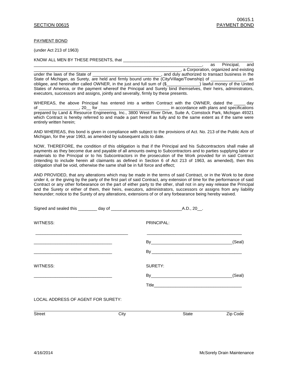PAYMENT BOND

(under Act 213 of 1963)

KNOW ALL MEN BY THESE PRESENTS, that

|                                                                                                                                                                                                         | Principal,<br>as                      | and |
|---------------------------------------------------------------------------------------------------------------------------------------------------------------------------------------------------------|---------------------------------------|-----|
|                                                                                                                                                                                                         | a Corporation, organized and existing |     |
| and duly authorized to transact business in the<br>under the laws of the State of                                                                                                                       |                                       |     |
| State of Michigan, as Surety, are held and firmly bound unto the (City/Village/Township) of _______                                                                                                     |                                       | as  |
| obligee, and hereinafter called OWNER, in the just and full sum of (\$                                                                                                                                  |                                       |     |
| States of America, or the payment whereof the Principal and Surety bind themselves, their heirs, administrators,<br>executors, successors and assigns, jointly and severally, firmly by these presents. |                                       |     |
|                                                                                                                                                                                                         |                                       |     |

WHEREAS, the above Principal has entered into a written Contract with the OWNER, dated the \_\_\_\_\_ day of the contract of the contract of the contract of the contract of the contract of the contract of the contract of the contract of the contract of the contract of the contract of the contract of the contract of the contrac prepared by Land & Resource Engineering, Inc., 3800 West River Drive, Suite A, Comstock Park, Michigan 49321 which Contract is hereby referred to and made a part hereof as fully and to the same extent as if the same were entirely written herein;

AND WHEREAS, this bond is given in compliance with subject to the provisions of Act. No. 213 of the Public Acts of Michigan, for the year 1963, as amended by subsequent acts to date.

NOW, THEREFORE, the condition of this obligation is that if the Principal and his Subcontractors shall make all payments as they become due and payable of all amounts owing to Subcontractors and to parties supplying labor or materials to the Principal or to his Subcontractors in the prosecution of the Work provided for in said Contract (intending to include herein all claimants as defined in Section 6 of Act 213 of 1963, as amended), then this obligation shall be void, otherwise the same shall be in full force and effect;

AND PROVIDED, that any alterations which may be made in the terms of said Contract, or in the Work to be done under it, or the giving by the party of the first part of said Contract, any extension of time for the performance of said Contract or any other forbearance on the part of either party to the other, shall not in any way release the Principal and the Surety or either of them, their heirs, executors, administrators, successors or assigns from any liability hereunder; notice to the Surety of any alterations, extensions of or of any forbearance being hereby waived.

| WITNESS:                           |      | PRINCIPAL: |          |
|------------------------------------|------|------------|----------|
|                                    |      |            | (Seal)   |
| WITNESS:                           |      | SURETY:    |          |
|                                    |      |            | (Seal)   |
| LOCAL ADDRESS OF AGENT FOR SURETY: |      |            |          |
| <b>Street</b>                      | City | State      | Zip Code |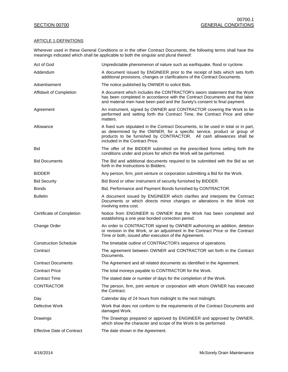# ARTICLE 1-DEFINITIONS

Wherever used in these General Conditions or in the other Contract Documents, the following terms shall have the meanings indicated which shall be applicable to both the singular and plural thereof:

| Act of God                        | Unpredictable phenomenon of nature such as earthquake, flood or cyclone.                                                                                                                                                                                                |
|-----------------------------------|-------------------------------------------------------------------------------------------------------------------------------------------------------------------------------------------------------------------------------------------------------------------------|
| Addendum                          | A document issued by ENGINEER prior to the receipt of bids which sets forth<br>additional provisions, changes or clarifications of the Contract Documents.                                                                                                              |
| Advertisement                     | The notice published by OWNER to solicit Bids.                                                                                                                                                                                                                          |
| Affidavit of Completion           | A document which includes the CONTRACTOR's sworn statement that the Work<br>has been completed in accordance with the Contract Documents and that labor<br>and material men have been paid and the Surety's consent to final payment.                                   |
| Agreement                         | An instrument, signed by OWNER and CONTRACTOR covering the Work to be<br>performed and setting forth the Contract Time, the Contract Price and other<br>matters.                                                                                                        |
| Allowance                         | A fixed sum stipulated in the Contract Documents, to be used in total or in part,<br>as determined by the OWNER, for a specific service, product or group of<br>products to be furnished by CONTRACTOR. All cash allowances shall be<br>included in the Contract Price. |
| Bid                               | The offer of the BIDDER submitted on the prescribed forms setting forth the<br>conditions under and prices for which the Work will be performed.                                                                                                                        |
| <b>Bid Documents</b>              | The Bid and additional documents required to be submitted with the Bid as set<br>forth in the Instructions to Bidders.                                                                                                                                                  |
| <b>BIDDER</b>                     | Any person, firm, joint venture or corporation submitting a Bid for the Work.                                                                                                                                                                                           |
| <b>Bid Security</b>               | Bid Bond or other instrument of security furnished by BIDDER.                                                                                                                                                                                                           |
| <b>Bonds</b>                      | Bid, Performance and Payment Bonds furnished by CONTRACTOR.                                                                                                                                                                                                             |
| <b>Bulletin</b>                   | A document issued by ENGINEER which clarifies and interprets the Contract<br>Documents or which directs minor changes or alterations in the Work not<br>involving extra cost.                                                                                           |
| Certificate of Completion         | Notice from ENGINEER to OWNER that the Work has been completed and<br>establishing a one year bonded correction period.                                                                                                                                                 |
| Change Order                      | An order to CONTRACTOR signed by OWNER authorizing an addition, deletion<br>or revision in the Work, or an adjustment in the Contract Price or the Contract<br>Time or both, issued after execution of the Agreement.                                                   |
| <b>Construction Schedule</b>      | The timetable outline of CONTRACTOR's sequence of operations.                                                                                                                                                                                                           |
| Contract                          | The agreement between OWNER and CONTRACTOR set forth in the Contract<br>Documents.                                                                                                                                                                                      |
| <b>Contract Documents</b>         | The Agreement and all related documents as identified in the Agreement.                                                                                                                                                                                                 |
| <b>Contract Price</b>             | The total moneys payable to CONTRACTOR for the Work.                                                                                                                                                                                                                    |
| <b>Contract Time</b>              | The stated date or number of days for the completion of the Work.                                                                                                                                                                                                       |
| <b>CONTRACTOR</b>                 | The person, firm, joint venture or corporation with whom OWNER has executed<br>the Contract.                                                                                                                                                                            |
| Day                               | Calendar day of 24 hours from midnight to the next midnight.                                                                                                                                                                                                            |
| Defective Work                    | Work that does not conform to the requirements of the Contract Documents and<br>damaged Work.                                                                                                                                                                           |
| Drawings                          | The Drawings prepared or approved by ENGINEER and approved by OWNER,<br>which show the character and scope of the Work to be performed.                                                                                                                                 |
| <b>Effective Date of Contract</b> | The date shown in the Agreement.                                                                                                                                                                                                                                        |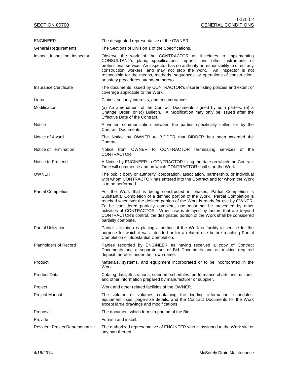| <b>ENGINEER</b>                 | The designated representative of the OWNER.                                                                                                                                                                                                                                                                                                                                                                                                                                                            |
|---------------------------------|--------------------------------------------------------------------------------------------------------------------------------------------------------------------------------------------------------------------------------------------------------------------------------------------------------------------------------------------------------------------------------------------------------------------------------------------------------------------------------------------------------|
| <b>General Requirements</b>     | The Sections of Division 1 of the Specifications.                                                                                                                                                                                                                                                                                                                                                                                                                                                      |
| Inspect, Inspection, Inspector  | Observe the work of the CONTRACTOR as it relates to implementing<br>CONSULTANT's plans, specifications, reports, and other instruments of<br>professional service. An inspector has no authority or responsibility to direct any<br>construction workers, and may not stop the work. An inspector is not<br>responsible for the means, methods, sequences, or operations of construction,<br>or safety procedures attendant thereto.                                                                   |
| Insurance Certificate           | The documents issued by CONTRACTOR's insurer listing policies and extent of<br>coverage applicable to the Work.                                                                                                                                                                                                                                                                                                                                                                                        |
| Liens                           | Claims, security interests, and encumbrances.                                                                                                                                                                                                                                                                                                                                                                                                                                                          |
| Modification                    | (a) An amendment of the Contract Documents signed by both parties, (b) a<br>Change Order, or (c) Bulletin. A Modification may only be issued after the<br>Effective Date of the Contract.                                                                                                                                                                                                                                                                                                              |
| Notice                          | A written communication between the parties specifically called for by the<br>Contract Documents.                                                                                                                                                                                                                                                                                                                                                                                                      |
| Notice of Award                 | The Notice by OWNER to BIDDER that BIDDER has been awarded the<br>Contract.                                                                                                                                                                                                                                                                                                                                                                                                                            |
| Notice of Termination           | Notice from OWNER to CONTRACTOR terminating services of the<br>CONTRACTOR.                                                                                                                                                                                                                                                                                                                                                                                                                             |
| Notice to Proceed               | A Notice by ENGINEER to CONTRACTOR fixing the date on which the Contract<br>Time will commence and on which CONTRACTOR shall start the Work.                                                                                                                                                                                                                                                                                                                                                           |
| <b>OWNER</b>                    | The public body or authority, corporation, association, partnership, or individual<br>with whom CONTRACTOR has entered into the Contract and for whom the Work<br>is to be performed.                                                                                                                                                                                                                                                                                                                  |
| <b>Partial Completion</b>       | For the Work that is being constructed in phases, Partial Completion is<br>Substantial Completion of a defined portion of the Work. Partial Completion is<br>reached whenever the defined portion of the Work is ready for use by OWNER.<br>To be considered partially complete, use must not be prevented by other<br>activities of CONTRACTOR. When use is delayed by factors that are beyond<br>CONTRACTOR's control, the designated portion of the Work shall be considered<br>partially complete. |
| <b>Partial Utilization</b>      | Partial Utilization is placing a portion of the Work or facility in service for the<br>purpose for which it was intended or for a related use before reaching Partial<br>Completion or Substantial Completion.                                                                                                                                                                                                                                                                                         |
| <b>Planholders of Record</b>    | Parties recorded by ENGINEER as having received a copy of Contract<br>Documents and a separate set of Bid Documents and as making required<br>deposit therefor, under their own name.                                                                                                                                                                                                                                                                                                                  |
| Product                         | Materials, systems, and equipment incorporated or to be incorporated in the<br>Work.                                                                                                                                                                                                                                                                                                                                                                                                                   |
| Product Data                    | Catalog data, illustrations, standard schedules, performance charts, instructions,<br>and other information prepared by manufacturer or supplier.                                                                                                                                                                                                                                                                                                                                                      |
| Project                         | Work and other related facilities of the OWNER.                                                                                                                                                                                                                                                                                                                                                                                                                                                        |
| Project Manual                  | The volume or volumes containing the bidding information, schedules,<br>equipment uses, page-size details, and the Contract Documents for the Work<br>except large drawings and modifications.                                                                                                                                                                                                                                                                                                         |
| Proposal                        | The document which forms a portion of the Bid.                                                                                                                                                                                                                                                                                                                                                                                                                                                         |
| Provide                         | Furnish and install.                                                                                                                                                                                                                                                                                                                                                                                                                                                                                   |
| Resident Project Representative | The authorized representative of ENGINEER who is assigned to the Work site or<br>any part thereof.                                                                                                                                                                                                                                                                                                                                                                                                     |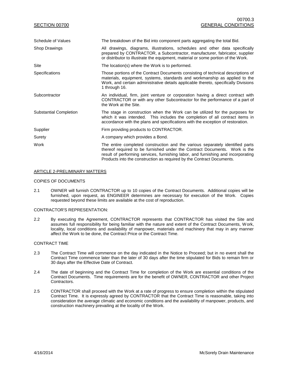| SECTION 00700                 | 00700.3<br><b>GENERAL CONDITIONS</b>                                                                                                                                                                                                                                                                                      |
|-------------------------------|---------------------------------------------------------------------------------------------------------------------------------------------------------------------------------------------------------------------------------------------------------------------------------------------------------------------------|
| Schedule of Values            | The breakdown of the Bid into component parts aggregating the total Bid.                                                                                                                                                                                                                                                  |
| <b>Shop Drawings</b>          | All drawings, diagrams, illustrations, schedules and other data specifically<br>prepared by CONTRACTOR, a Subcontractor, manufacturer, fabricator, supplier<br>or distributor to illustrate the equipment, material or some portion of the Work.                                                                          |
| Site                          | The location(s) where the Work is to performed.                                                                                                                                                                                                                                                                           |
| Specifications                | Those portions of the Contract Documents consisting of technical descriptions of<br>materials, equipment, systems, standards and workmanship as applied to the<br>Work, and certain administrative details applicable thereto, specifically Divisions<br>1 through 16.                                                    |
| Subcontractor                 | An individual, firm, joint venture or corporation having a direct contract with<br>CONTRACTOR or with any other Subcontractor for the performance of a part of<br>the Work at the Site.                                                                                                                                   |
| <b>Substantial Completion</b> | The stage in construction when the Work can be utilized for the purposes for<br>which it was intended. This includes the completion of all contract items in<br>accordance with the plans and specifications with the exception of restoration.                                                                           |
| Supplier                      | Firm providing products to CONTRACTOR.                                                                                                                                                                                                                                                                                    |
| Surety                        | A company which provides a Bond.                                                                                                                                                                                                                                                                                          |
| Work                          | The entire completed construction and the various separately identified parts<br>thereof required to be furnished under the Contract Documents. Work is the<br>result of performing services, furnishing labor, and furnishing and incorporating<br>Products into the construction as required by the Contract Documents. |

#### ARTICLE 2-PRELIMINARY MATTERS

#### COPIES OF DOCUMENTS

2.1 OWNER will furnish CONTRACTOR up to 10 copies of the Contract Documents. Additional copies will be furnished, upon request, as ENGINEER determines are necessary for execution of the Work. Copies requested beyond these limits are available at the cost of reproduction.

#### CONTRACTOR'S REPRESENTATION:

2.2 By executing the Agreement, CONTRACTOR represents that CONTRACTOR has visited the Site and assumes full responsibility for being familiar with the nature and extent of the Contract Documents, Work, locality, local conditions and availability of manpower, materials and machinery that may in any manner affect the Work to be done, the Contract Price or the Contract Time.

#### CONTRACT TIME

- 2.3 The Contract Time will commence on the day indicated in the Notice to Proceed; but in no event shall the Contract Time commence later than the later of 30 days after the time stipulated for Bids to remain firm or 30 days after the Effective Date of Contract.
- 2.4 The date of beginning and the Contract Time for completion of the Work are essential conditions of the Contract Documents. Time requirements are for the benefit of OWNER, CONTRACTOR and other Project Contractors.
- 2.5 CONTRACTOR shall proceed with the Work at a rate of progress to ensure completion within the stipulated Contract Time. It is expressly agreed by CONTRACTOR that the Contract Time is reasonable, taking into consideration the average climatic and economic conditions and the availability of manpower, products, and construction machinery prevailing at the locality of the Work.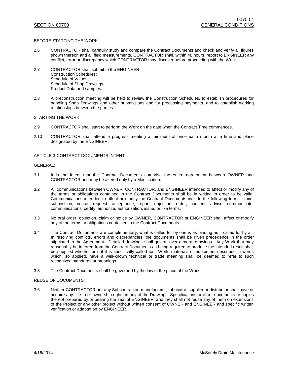#### BEFORE STARTING THE WORK

- 2.6 CONTRACTOR shall carefully study and compare the Contract Documents and check and verify all figures shown thereon and all field measurements. CONTRACTOR shall, within 48 hours, report to ENGINEER any conflict, error or discrepancy which CONTRACTOR may discover before proceeding with the Work.
- 2.7 CONTRACTOR shall submit to the ENGINEER: Construction Schedules; Schedule of Values; Schedule of Shop Drawings, Product Data and samples.
- 2.8 A preconstruction meeting will be held to review the Construction Schedules, to establish procedures for handling Shop Drawings and other submissions and for processing payments, and to establish working relationships between the parties.

STARTING THE WORK

- 2.9 CONTRACTOR shall start to perform the Work on the date when the Contract Time commences.
- 2.10 CONTRACTOR shall attend a progress meeting a minimum of once each month at a time and place designated by the ENGINEER.

#### ARTICLE 3-CONTRACT DOCUMENTS INTENT

### GENERAL:

- 3.1 It is the intent that the Contract Documents comprise the entire agreement between OWNER and CONTRACTOR and may be altered only by a Modification.
- 3.2 All communications between OWNER, CONTRACTOR, and ENGINEER intended to affect or modify any of the terms or obligations contained in the Contract Documents shall be in writing in order to be valid. Communications intended to affect or modify the Contract Documents include the following terms: claim, submission, notice, request, acceptance, report, objection, order, consent, advise, communicate, communications, certify, authorize, authorization, issue, or like terms.
- 3.3 No oral order, objection, claim or notice by OWNER, CONTRACTOR or ENGINEER shall affect or modify any of the terms or obligations contained in the Contract Documents.
- 3.4 The Contract Documents are complementary; what is called for by one is as binding as if called for by all. In resolving conflicts, errors and discrepancies, the documents shall be given precedence in the order stipulated in the Agreement. Detailed drawings shall govern over general drawings. Any Work that may reasonably be inferred from the Contract Documents as being required to produce the intended result shall be supplied whether or not it is specifically called for. Work, materials or equipment described in words which, so applied, have a well-known technical or trade meaning shall be deemed to refer to such recognized standards or meanings.
- 3.5 The Contract Documents shall be governed by the law of the place of the Work.

#### REUSE OF DOCUMENTS

3.6 Neither CONTRACTOR nor any Subcontractor, manufacturer, fabricator, supplier or distributor shall have or acquire any title to or ownership rights in any of the Drawings, Specifications or other documents or copies thereof prepared by or bearing the seal of ENGINEER; and they shall not reuse any of them on extensions of the Project or any other project without written consent of OWNER and ENGINEER and specific written verification or adaptation by ENGINEER.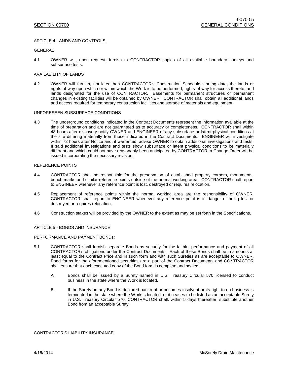#### ARTICLE 4-LANDS AND CONTROLS

#### GENERAL

4.1 OWNER will, upon request, furnish to CONTRACTOR copies of all available boundary surveys and subsurface tests.

#### AVAILABILITY OF LANDS

4.2 OWNER will furnish, not later than CONTRACTOR's Construction Schedule starting date, the lands or rights-of-way upon which or within which the Work is to be performed, rights-of-way for access thereto, and lands designated for the use of CONTRACTOR. Easements for permanent structures or permanent changes in existing facilities will be obtained by OWNER. CONTRACTOR shall obtain all additional lands and access required for temporary construction facilities and storage of materials and equipment.

#### UNFORESEEN SUBSURFACE CONDITIONS

4.3 The underground conditions indicated in the Contract Documents represent the information available at the time of preparation and are not guaranteed as to accuracy or completeness. CONTRACTOR shall within 48 hours after discovery notify OWNER and ENGINEER of any subsurface or latent physical conditions at the site differing materially from those indicated in the Contract Documents. ENGINEER will investigate within 72 hours after Notice and, if warranted, advise OWNER to obtain additional investigations and tests. If said additional investigations and tests show subsurface or latent physical conditions to be materially different and which could not have reasonably been anticipated by CONTRACTOR, a Change Order will be issued incorporating the necessary revision.

### REFERENCE POINTS

- 4.4 CONTRACTOR shall be responsible for the preservation of established property corners, monuments, bench marks and similar reference points outside of the normal working area. CONTRACTOR shall report to ENGINEER whenever any reference point is lost, destroyed or requires relocation.
- 4.5 Replacement of reference points within the normal working area are the responsibility of OWNER. CONTRACTOR shall report to ENGINEER whenever any reference point is in danger of being lost or destroyed or requires relocation.
- 4.6 Construction stakes will be provided by the OWNER to the extent as may be set forth in the Specifications.

#### ARTICLE 5 - BONDS AND INSURANCE

#### PERFORMANCE AND PAYMENT BONDs:

- 5.1 CONTRACTOR shall furnish separate Bonds as security for the faithful performance and payment of all CONTRACTOR's obligations under the Contract Documents. Each of these Bonds shall be in amounts at least equal to the Contract Price and in such form and with such Sureties as are acceptable to OWNER. Bond forms for the aforementioned securities are a part of the Contract Documents and CONTRACTOR shall ensure that each executed copy of the Bond form is complete and sealed.
	- A. Bonds shall be issued by a Surety named in U.S. Treasury Circular 570 licensed to conduct business in the state where the Work is located.
	- B. If the Surety on any Bond is declared bankrupt or becomes insolvent or its right to do business is terminated in the state where the Work is located, or it ceases to be listed as an acceptable Surety in U.S. Treasury Circular 570, CONTRACTOR shall, within 5 days thereafter, substitute another Bond from an acceptable Surety.

#### CONTRACTOR'S LIABILITY INSURANCE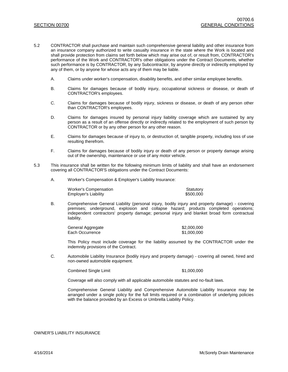- 5.2 CONTRACTOR shall purchase and maintain such comprehensive general liability and other insurance from an insurance company authorized to write casualty insurance in the state where the Work is located and shall provide protection from claims set forth below which may arise out of, or result from, CONTRACTOR's performance of the Work and CONTRACTOR's other obligations under the Contract Documents, whether such performance is by CONTRACTOR, by any Subcontractor, by anyone directly or indirectly employed by any of them, or by anyone for whose acts any of them may be liable.
	- A. Claims under worker's compensation, disability benefits, and other similar employee benefits.
	- B. Claims for damages because of bodily injury, occupational sickness or disease, or death of CONTRACTOR's employees.
	- C. Claims for damages because of bodily injury, sickness or disease, or death of any person other than CONTRACTOR's employees.
	- D. Claims for damages insured by personal injury liability coverage which are sustained by any person as a result of an offense directly or indirectly related to the employment of such person by CONTRACTOR or by any other person for any other reason.
	- E. Claims for damages because of injury to, or destruction of, tangible property, including loss of use resulting therefrom.
	- F. Claims for damages because of bodily injury or death of any person or property damage arising out of the ownership, maintenance or use of any motor vehicle.
- 5.3 This insurance shall be written for the following minimum limits of liability and shall have an endorsement covering all CONTRACTOR'S obligations under the Contract Documents:
	- A. Worker's Compensation & Employer's Liability Insurance:

| Worker's Compensation       | Statutory |
|-----------------------------|-----------|
| <b>Employer's Liability</b> | \$500,000 |

B. Comprehensive General Liability (personal injury, bodily injury and property damage) - covering premises; underground, explosion and collapse hazard; products completed operations; independent contractors' property damage; personal injury and blanket broad form contractual liability.

| General Aggregate | \$2,000,000 |
|-------------------|-------------|
| Each Occurrence   | \$1,000,000 |

This Policy must include coverage for the liability assumed by the CONTRACTOR under the indemnity provisions of the Contract.

C. Automobile Liability Insurance (bodily injury and property damage) - covering all owned, hired and non-owned automobile equipment.

Combined Single Limit  $$1,000,000$ 

Coverage will also comply with all applicable automobile statutes and no-fault laws.

Comprehensive General Liability and Comprehensive Automobile Liability Insurance may be arranged under a single policy for the full limits required or a combination of underlying policies with the balance provided by an Excess or Umbrella Liability Policy.

OWNER'S LIABILITY INSURANCE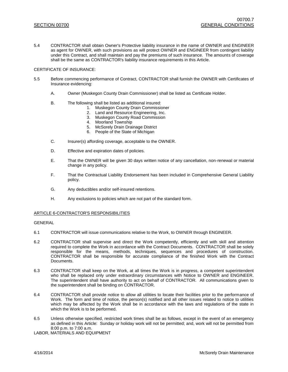5.4 CONTRACTOR shall obtain Owner's Protective liability insurance in the name of OWNER and ENGINEER as agent for OWNER, with such provisions as will protect OWNER and ENGINEER from contingent liability under this Contract, and shall maintain and pay the premiums of such insurance. The amounts of coverage shall be the same as CONTRACTOR's liability insurance requirements in this Article.

#### CERTIFICATE OF INSURANCE:

- 5.5 Before commencing performance of Contract, CONTRACTOR shall furnish the OWNER with Certificates of Insurance evidencing:
	- A. Owner (Muskegon County Drain Commissioner) shall be listed as Certificate Holder.
	- B. The following shall be listed as additional insured:
		- 1. Muskegon County Drain Commissioner
		- 2. Land and Resource Engineering, Inc.
		- 3. Muskegon County Road Commission
		- 4. Moorland Township
		- 5. McSorely Drain Drainage District
		- 6. People of the State of Michigan
	- C. Insurer(s) affording coverage, acceptable to the OWNER.
	- D. Effective and expiration dates of policies.
	- E. That the OWNER will be given 30 days written notice of any cancellation, non-renewal or material change in any policy.
	- F. That the Contractual Liability Endorsement has been included in Comprehensive General Liability policy.
	- G. Any deductibles and/or self-insured retentions.
	- H. Any exclusions to policies which are not part of the standard form.

#### ARTICLE 6-CONTRACTOR'S RESPONSIBILITIES

#### GENERAL

- 6.1 CONTRACTOR will issue communications relative to the Work, to OWNER through ENGINEER.
- 6.2 CONTRACTOR shall supervise and direct the Work competently, efficiently and with skill and attention required to complete the Work in accordance with the Contract Documents. CONTRACTOR shall be solely responsible for the means, methods, techniques, sequences and procedures of construction. CONTRACTOR shall be responsible for accurate compliance of the finished Work with the Contract Documents.
- 6.3 CONTRACTOR shall keep on the Work, at all times the Work is in progress, a competent superintendent who shall be replaced only under extraordinary circumstances with Notice to OWNER and ENGINEER. The superintendent shall have authority to act on behalf of CONTRACTOR. All communications given to the superintendent shall be binding on CONTRACTOR.
- 6.4 CONTRACTOR shall provide notice to allow all utilities to locate their facilities prior to the performance of Work. The form and time of notice, the person(s) notified and all other issues related to notice to utilities which may be affected by the Work shall be in accordance with the laws and regulations of the state in which the Work is to be performed.
- 6.5 Unless otherwise specified, restricted work times shall be as follows, except in the event of an emergency as defined in this Article: Sunday or holiday work will not be permitted; and, work will not be permitted from 8:00 p.m. to 7:00 a.m.

LABOR, MATERIALS AND EQUIPMENT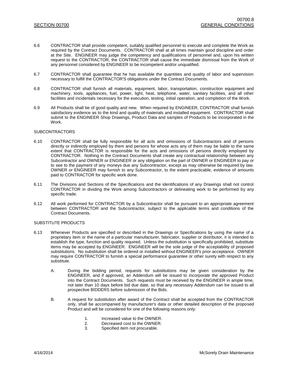- 6.6 CONTRACTOR shall provide competent, suitably qualified personnel to execute and complete the Work as required by the Contract Documents. CONTRACTOR shall at all times maintain good discipline and order at the Site. ENGINEER may judge the competency and qualifications of personnel and, upon his written request to the CONTRACTOR, the CONTRACTOR shall cause the immediate dismissal from the Work of any personnel considered by ENGINEER to be incompetent and/or unqualified.
- 6.7 CONTRACTOR shall guarantee that he has available the quantities and quality of labor and supervision necessary to fulfill the CONTRACTOR'S obligations under the Contract Documents.
- 6.8 CONTRACTOR shall furnish all materials, equipment, labor, transportation, construction equipment and machinery, tools, appliances, fuel, power, light, heat, telephone, water, sanitary facilities, and all other facilities and incidentals necessary for the execution, testing, initial operation, and completion of the Work.
- 6.9 All Products shall be of good quality and new. When required by ENGINEER, CONTRACTOR shall furnish satisfactory evidence as to the kind and quality of materials and installed equipment. CONTRACTOR shall submit to the ENGINEER Shop Drawings, Product Data and samples of Products to be incorporated in the Work.

#### **SUBCONTRACTORS**

- 6.10 CONTRACTOR shall be fully responsible for all acts and omissions of Subcontractors and of persons directly or indirectly employed by them and persons for whose acts any of them may be liable to the same extent that CONTRACTOR is responsible for the acts and omissions of persons directly employed by CONTRACTOR. Nothing in the Contract Documents shall create any contractual relationship between any Subcontractor and OWNER or ENGINEER or any obligation on the part of OWNER or ENGINEER to pay or to see to the payment of any moneys due any Subcontractor, except as may otherwise be required by law. OWNER or ENGINEER may furnish to any Subcontractor, to the extent practicable, evidence of amounts paid to CONTRACTOR for specific work done.
- 6.11 The Divisions and Sections of the Specifications and the identifications of any Drawings shall not control CONTRACTOR in dividing the Work among Subcontractors or delineating work to be performed by any specific trade.
- 6.12 All work performed for CONTRACTOR by a Subcontractor shall be pursuant to an appropriate agreement between CONTRACTOR and the Subcontractor, subject to the applicable terms and conditions of the Contract Documents.

#### SUBSTITUTE PRODUCTS

- 6.13 Whenever Products are specified or described in the Drawings or Specifications by using the name of a proprietary item or the name of a particular manufacturer, fabricator, supplier or distributor, it is intended to establish the type, function and quality required. Unless the substitution is specifically prohibited, substitute items may be accepted by ENGINEER. ENGINEER will be the sole judge of the acceptability of proposed substitutions. No substitution shall be ordered or installed without ENGINEER's prior acceptance. OWNER may require CONTRACTOR to furnish a special performance guarantee or other surety with respect to any substitute.
	- A. During the bidding period, requests for substitutions may be given consideration by the ENGINEER, and if approved, an Addendum will be issued to incorporate the approved Product into the Contract Documents. Such requests must be received by the ENGINEER in ample time, not later than 10 days before bid due date, so that any necessary Addendum can be issued to all prospective BIDDERS before submission of the Bids.
	- B. A request for substitution after award of the Contract shall be accepted from the CONTRACTOR only, shall be accompanied by manufacturer's data or other detailed description of the proposed Product and will be considered for one of the following reasons only:
		- 1. Increased value to the OWNER.
		- 2. Decreased cost to the OWNER.
		- 3. Specified item not procurable.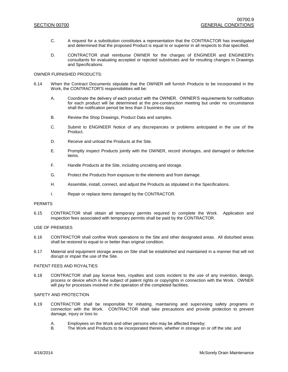- C. A request for a substitution constitutes a representation that the CONTRACTOR has investigated and determined that the proposed Product is equal to or superior in all respects to that specified.
- D. CONTRACTOR shall reimburse OWNER for the charges of ENGINEER and ENGINEER's consultants for evaluating accepted or rejected substitutes and for resulting changes in Drawings and Specifications.

#### OWNER FURNISHED PRODUCTS:

- 6.14 When the Contract Documents stipulate that the OWNER will furnish Products to be incorporated in the Work, the CONTRACTOR'S responsibilities will be:
	- A. Coordinate the delivery of each product with the OWNER. OWNER'S requirements for notification for each product will be determined at the pre-construction meeting but under no circumstance shall the notification period be less than 3 business days.
	- B. Review the Shop Drawings, Product Data and samples.
	- C. Submit to ENGINEER Notice of any discrepancies or problems anticipated in the use of the Product.
	- D. Receive and unload the Products at the Site.
	- E. Promptly inspect Products jointly with the OWNER, record shortages, and damaged or defective items.
	- F. Handle Products at the Site, including uncrating and storage.
	- G. Protect the Products from exposure to the elements and from damage.
	- H. Assemble, install, connect, and adjust the Products as stipulated in the Specifications.
	- I. Repair or replace items damaged by the CONTRACTOR.

#### **PERMITS**

6.15 CONTRACTOR shall obtain all temporary permits required to complete the Work. Application and inspection fees associated with temporary permits shall be paid by the CONTRACTOR.

#### USE OF PREMISES

- 6.16 CONTRACTOR shall confine Work operations to the Site and other designated areas. All disturbed areas shall be restored to equal to or better than original condition.
- 6.17 Material and equipment storage areas on Site shall be established and maintained in a manner that will not disrupt or impair the use of the Site.

#### PATENT FEES AND ROYALTIES

6.18 CONTRACTOR shall pay license fees, royalties and costs incident to the use of any invention, design, process or device which is the subject of patent rights or copyrights in connection with the Work. OWNER will pay for processes involved in the operation of the completed facilities.

#### SAFETY AND PROTECTION

- 6.19 CONTRACTOR shall be responsible for initiating, maintaining and supervising safety programs in connection with the Work. CONTRACTOR shall take precautions and provide protection to prevent damage, injury or loss to:
	- A. Employees on the Work and other persons who may be affected thereby;<br>B. The Work and Products to be incorporated therein, whether in storage on
	- The Work and Products to be incorporated therein, whether in storage on or off the site; and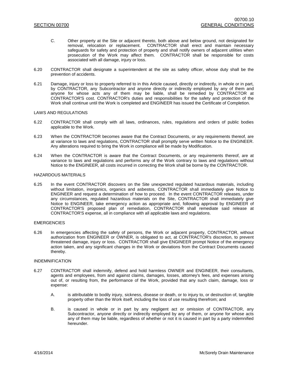- C. Other property at the Site or adjacent thereto, both above and below ground, not designated for removal, relocation or replacement. CONTRACTOR shall erect and maintain necessary safeguards for safety and protection of property and shall notify owners of adjacent utilities when prosecution of the Work may affect them. CONTRACTOR shall be responsible for costs associated with all damage, injury or loss.
- 6.20 CONTRACTOR shall designate a superintendent at the site as safety officer, whose duty shall be the prevention of accidents.
- 6.21 Damage, injury or loss to property referred to in this Article caused, directly or indirectly, in whole or in part, by CONTRACTOR, any Subcontractor and anyone directly or indirectly employed by any of them and anyone for whose acts any of them may be liable, shall be remedied by CONTRACTOR at CONTRACTOR'S cost. CONTRACTOR's duties and responsibilities for the safety and protection of the Work shall continue until the Work is completed and ENGINEER has issued the Certificate of Completion.

#### LAWS AND REGULATIONS

- 6.22 CONTRACTOR shall comply with all laws, ordinances, rules, regulations and orders of public bodies applicable to the Work.
- 6.23 When the CONTRACTOR becomes aware that the Contract Documents, or any requirements thereof, are at variance to laws and regulations, CONTRACTOR shall promptly serve written Notice to the ENGINEER. Any alterations required to bring the Work in compliance will be made by Modification.
- 6.24 When the CONTRACTOR is aware that the Contract Documents, or any requirements thereof, are at variance to laws and regulations and performs any of the Work contrary to laws and regulations without Notice to the ENGINEER, all costs incurred in correcting the Work shall be borne by the CONTRACTOR.

#### HAZARDOUS MATERIALS

6.25 In the event CONTRACTOR discovers on the Site unexpected regulated hazardous materials, including without limitation, inorganics, organics and asbestos, CONTRACTOR shall immediately give Notice to ENGINEER and request a determination of how to proceed. In the event CONTRACTOR releases, under any circumstances, regulated hazardous materials on the Site, CONTRACTOR shall immediately give Notice to ENGINEER, take emergency action as appropriate and, following approval by ENGINEER of CONTRACTOR'S proposed plan of remediation, CONTRACTOR shall remediate said release at CONTRACTOR'S expense, all in compliance with all applicable laws and regulations.

#### EMERGENCIES

6.26 In emergencies affecting the safety of persons, the Work or adjacent property, CONTRACTOR, without authorization from ENGINEER or OWNER, is obligated to act, at CONTRACTOR's discretion, to prevent threatened damage, injury or loss. CONTRACTOR shall give ENGINEER prompt Notice of the emergency action taken, and any significant changes in the Work or deviations from the Contract Documents caused thereby.

#### INDEMNIFICATION

- 6.27 CONTRACTOR shall indemnify, defend and hold harmless OWNER and ENGINEER, their consultants, agents and employees, from and against claims, damages, losses, attorney's fees, and expenses arising out of, or resulting from, the performance of the Work, provided that any such claim, damage, loss or expense:
	- A. is attributable to bodily injury, sickness, disease or death, or to injury to, or destruction of, tangible property other than the Work itself, including the loss of use resulting therefrom; and
	- B. is caused in whole or in part by any negligent act or omission of CONTRACTOR, any Subcontractor, anyone directly or indirectly employed by any of them, or anyone for whose acts any of them may be liable, regardless of whether or not it is caused in part by a party indemnified hereunder.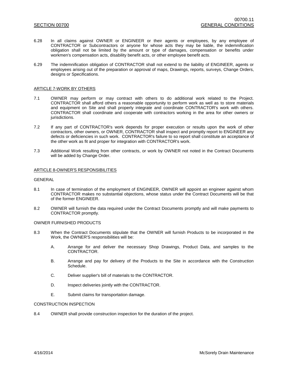- 6.28 In all claims against OWNER or ENGINEER or their agents or employees, by any employee of CONTRACTOR or Subcontractors or anyone for whose acts they may be liable, the indemnification obligation shall not be limited by the amount or type of damages, compensation or benefits under workmen's compensation acts, disability benefit acts, or other employee benefit acts.
- 6.29 The indemnification obligation of CONTRACTOR shall not extend to the liability of ENGINEER, agents or employees arising out of the preparation or approval of maps, Drawings, reports, surveys, Change Orders, designs or Specifications.

#### ARTICLE 7-WORK BY OTHERS

- 7.1 OWNER may perform or may contract with others to do additional work related to the Project. CONTRACTOR shall afford others a reasonable opportunity to perform work as well as to store materials and equipment on Site and shall properly integrate and coordinate CONTRACTOR's work with others. CONTRACTOR shall coordinate and cooperate with contractors working in the area for other owners or jurisdictions.
- 7.2 If any part of CONTRACTOR's work depends for proper execution or results upon the work of other contractors, other owners, or OWNER, CONTRACTOR shall inspect and promptly report to ENGINEER any defects or deficiencies in such work. CONTRACTOR's failure to so report shall constitute an acceptance of the other work as fit and proper for integration with CONTRACTOR's work.
- 7.3 Additional Work resulting from other contracts, or work by OWNER not noted in the Contract Documents will be added by Change Order.

### ARTICLE 8-OWNER'S RESPONSIBILITIES

#### GENERAL

- 8.1 In case of termination of the employment of ENGINEER, OWNER will appoint an engineer against whom CONTRACTOR makes no substantial objections, whose status under the Contract Documents will be that of the former ENGINEER.
- 8.2 OWNER will furnish the data required under the Contract Documents promptly and will make payments to CONTRACTOR promptly.

#### OWNER FURNISHED PRODUCTS

- 8.3 When the Contract Documents stipulate that the OWNER will furnish Products to be incorporated in the Work, the OWNER'S responsibilities will be:
	- A. Arrange for and deliver the necessary Shop Drawings, Product Data, and samples to the CONTRACTOR.
	- B. Arrange and pay for delivery of the Products to the Site in accordance with the Construction Schedule.
	- C. Deliver supplier's bill of materials to the CONTRACTOR.
	- D. Inspect deliveries jointly with the CONTRACTOR.
	- E. Submit claims for transportation damage.

#### CONSTRUCTION INSPECTION

8.4 OWNER shall provide construction inspection for the duration of the project.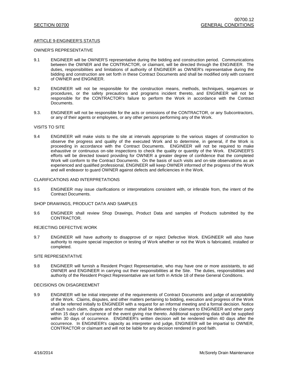#### ARTICLE 9-ENGINEER'S STATUS

#### OWNER'S REPRESENTATIVE

- 9.1 ENGINEER will be OWNER'S representative during the bidding and construction period. Communications between the OWNER and the CONTRACTOR, or claimant, will be directed through the ENGINEER. The duties, responsibilities and limitations of authority of ENGINEER as OWNER's representative during the bidding and construction are set forth in these Contract Documents and shall be modified only with consent of OWNER and ENGINEER.
- 9.2 ENGINEER will not be responsible for the construction means, methods, techniques, sequences or procedures, or the safety precautions and programs incident thereto, and ENGINEER will not be responsible for the CONTRACTOR's failure to perform the Work in accordance with the Contract Documents.
- 9.3. ENGINEER will not be responsible for the acts or omissions of the CONTRACTOR, or any Subcontractors, or any of their agents or employees, or any other persons performing any of the Work.

#### VISITS TO SITE

9.4 ENGINEER will make visits to the site at intervals appropriate to the various stages of construction to observe the progress and quality of the executed Work and to determine, in general, if the Work is proceeding in accordance with the Contract Documents. ENGINEER will not be required to make exhaustive or continuous on-site inspections to check the quality or quantity of the Work. ENGINEER'S efforts will be directed toward providing for OWNER a greater degree of confidence that the completed Work will conform to the Contract Documents. On the basis of such visits and on-site observations as an experienced and qualified professional, ENGINEER will keep OWNER informed of the progress of the Work and will endeavor to guard OWNER against defects and deficiencies in the Work.

#### CLARIFICATIONS AND INTERPRETATIONS

9.5 ENGINEER may issue clarifications or interpretations consistent with, or inferable from, the intent of the Contract Documents.

#### SHOP DRAWINGS, PRODUCT DATA AND SAMPLES

9.6 ENGINEER shall review Shop Drawings, Product Data and samples of Products submitted by the CONTRACTOR.

#### REJECTING DEFECTIVE WORK

9.7 ENGINEER will have authority to disapprove of or reject Defective Work. ENGINEER will also have authority to require special inspection or testing of Work whether or not the Work is fabricated, installed or completed.

#### SITE REPRESENTATIVE

9.8 ENGINEER will furnish a Resident Project Representative, who may have one or more assistants, to aid OWNER and ENGINEER in carrying out their responsibilities at the Site. The duties, responsibilities and authority of the Resident Project Representative are set forth in Article 18 of these General Conditions.

#### DECISIONS ON DISAGREEMENT

9.9 ENGINEER will be initial interpreter of the requirements of Contract Documents and judge of acceptability of the Work. Claims, disputes, and other matters pertaining to bidding, execution and progress of the Work shall be referred initially to ENGINEER with a request for an informal meeting and a formal decision. Notice of each such claim, dispute and other matter shall be delivered by claimant to ENGINEER and other party within 15 days of occurrence of the event giving rise thereto. Additional supporting data shall be supplied within 30 days of occurrence. ENGINEER's written decision will be rendered within 40 days after the occurrence. In ENGINEER's capacity as interpreter and judge, ENGINEER will be impartial to OWNER, CONTRACTOR or claimant and will not be liable for any decision rendered in good faith.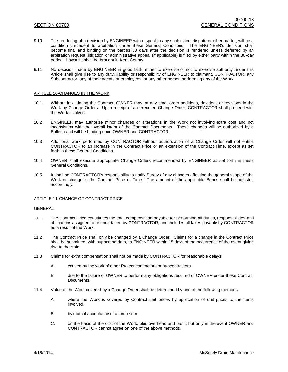- 9.10 The rendering of a decision by ENGINEER with respect to any such claim, dispute or other matter, will be a condition precedent to arbitration under these General Conditions. The ENGINEER's decision shall become final and binding on the parties 30 days after the decision is rendered unless deferred by an arbitration request, litigation or administrative appeal (if applicable) is filed by either party within the 30-day period. Lawsuits shall be brought in Kent County.
- 9.11 No decision made by ENGINEER in good faith, either to exercise or not to exercise authority under this Article shall give rise to any duty, liability or responsibility of ENGINEER to claimant, CONTRACTOR, any Subcontractor, any of their agents or employees, or any other person performing any of the Work.

#### ARTICLE 10-CHANGES IN THE WORK

- 10.1 Without invalidating the Contract, OWNER may, at any time, order additions, deletions or revisions in the Work by Change Orders. Upon receipt of an executed Change Order, CONTRACTOR shall proceed with the Work involved.
- 10.2 ENGINEER may authorize minor changes or alterations in the Work not involving extra cost and not inconsistent with the overall intent of the Contract Documents. These changes will be authorized by a Bulletin and will be binding upon OWNER and CONTRACTOR.
- 10.3 Additional work performed by CONTRACTOR without authorization of a Change Order will not entitle CONTRACTOR to an increase in the Contract Price or an extension of the Contract Time, except as set forth in these General Conditions.
- 10.4 OWNER shall execute appropriate Change Orders recommended by ENGINEER as set forth in these General Conditions.
- 10.5 It shall be CONTRACTOR's responsibility to notify Surety of any changes affecting the general scope of the Work or change in the Contract Price or Time. The amount of the applicable Bonds shall be adjusted accordingly.

#### ARTICLE 11-CHANGE OF CONTRACT PRICE

#### GENERAL

- 11.1 The Contract Price constitutes the total compensation payable for performing all duties, responsibilities and obligations assigned to or undertaken by CONTRACTOR, and includes all taxes payable by CONTRACTOR as a result of the Work.
- 11.2 The Contract Price shall only be changed by a Change Order. Claims for a change in the Contract Price shall be submitted, with supporting data, to ENGINEER within 15 days of the occurrence of the event giving rise to the claim.
- 11.3 Claims for extra compensation shall not be made by CONTRACTOR for reasonable delays:
	- A. caused by the work of other Project contractors or subcontractors.
	- B. due to the failure of OWNER to perform any obligations required of OWNER under these Contract Documents.
- 11.4 Value of the Work covered by a Change Order shall be determined by one of the following methods:
	- A. where the Work is covered by Contract unit prices by application of unit prices to the items involved.
	- B. by mutual acceptance of a lump sum.
	- C. on the basis of the cost of the Work, plus overhead and profit, but only in the event OWNER and CONTRACTOR cannot agree on one of the above methods.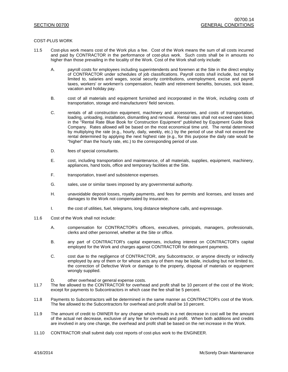#### COST-PLUS WORK

- 11.5 Cost-plus work means cost of the Work plus a fee. Cost of the Work means the sum of all costs incurred and paid by CONTRACTOR in the performance of cost-plus work. Such costs shall be in amounts no higher than those prevailing in the locality of the Work. Cost of the Work shall only include:
	- A. payroll costs for employees including superintendents and foremen at the Site in the direct employ of CONTRACTOR under schedules of job classifications. Payroll costs shall include, but not be limited to, salaries and wages, social security contributions, unemployment, excise and payroll taxes, workers' or workmen's compensation, health and retirement benefits, bonuses, sick leave, vacation and holiday pay.
	- B. cost of all materials and equipment furnished and incorporated in the Work, including costs of transportation, storage and manufacturers' field services.
	- C. rentals of all construction equipment, machinery and accessories, and costs of transportation, loading, unloading, installation, dismantling and removal. Rental rates shall not exceed rates listed in the "Rental Rate Blue Book for Construction Equipment" published by Equipment Guide Book Company. Rates allowed will be based on the most economical time unit. The rental determined by multiplying the rate (e.g., hourly, daily, weekly, etc.) by the period of use shall not exceed the rental determined by applying the next highest rate (e.g., for this purpose the daily rate would be "higher" than the hourly rate, etc.) to the corresponding period of use.
	- D. fees of special consultants.
	- E. cost, including transportation and maintenance, of all materials, supplies, equipment, machinery, appliances, hand tools, office and temporary facilities at the Site.
	- F. transportation, travel and subsistence expenses.
	- G. sales, use or similar taxes imposed by any governmental authority.
	- H. unavoidable deposit losses, royalty payments, and fees for permits and licenses, and losses and damages to the Work not compensated by insurance.
	- I. the cost of utilities, fuel, telegrams, long distance telephone calls, and expressage.
- 11.6 Cost of the Work shall not include:
	- A. compensation for CONTRACTOR's officers, executives, principals, managers, professionals, clerks and other personnel, whether at the Site or office.
	- B. any part of CONTRACTOR's capital expenses, including interest on CONTRACTOR's capital employed for the Work and charges against CONTRACTOR for delinquent payments.
	- C. cost due to the negligence of CONTRACTOR, any Subcontractor, or anyone directly or indirectly employed by any of them or for whose acts any of them may be liable, including but not limited to, the correction of Defective Work or damage to the property, disposal of materials or equipment wrongly supplied.
	- D. other overhead or general expense costs.
- 11.7 The fee allowed to the CONTRACTOR for overhead and profit shall be 10 percent of the cost of the Work; except for payments to Subcontractors in which case the fee shall be 5 percent.
- 11.8 Payments to Subcontractors will be determined in the same manner as CONTRACTOR's cost of the Work. The fee allowed to the Subcontractors for overhead and profit shall be 10 percent.
- 11.9 The amount of credit to OWNER for any change which results in a net decrease in cost will be the amount of the actual net decrease, exclusive of any fee for overhead and profit. When both additions and credits are involved in any one change, the overhead and profit shall be based on the net increase in the Work.
- 11.10 CONTRACTOR shall submit daily cost reports of cost-plus work to the ENGINEER.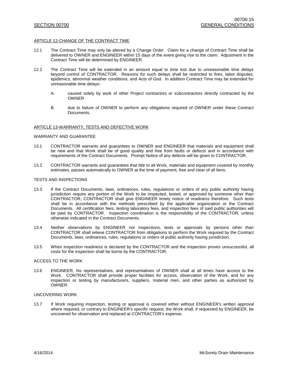#### ARTICLE 12-CHANGE OF THE CONTRACT TIME

- 12.1 The Contract Time may only be altered by a Change Order. Claim for a change of Contract Time shall be delivered to OWNER and ENGINEER within 15 days of the event giving rise to the claim. Adjustment in the Contract Time will be determined by ENGINEER.
- 12.2 The Contract Time will be extended in an amount equal to time lost due to unreasonable time delays beyond control of CONTRACTOR. Reasons for such delays shall be restricted to fires, labor disputes, epidemics, abnormal weather conditions, and Acts of God. In addition Contract Time may be extended for unreasonable time delays:
	- A. caused solely by work of other Project contractors or subcontractors directly contracted by the OWNER
	- B. due to failure of OWNER to perform any obligations required of OWNER under these Contract Documents.

#### ARTICLE 13-WARRANTY, TESTS AND DEFECTIVE WORK

#### WARRANTY AND GUARANTEE

- 13.1 CONTRACTOR warrants and guarantees to OWNER and ENGINEER that materials and equipment shall be new and that Work shall be of good quality and free from faults or defects and in accordance with requirements of the Contract Documents. Prompt Notice of any defects will be given to CONTRACTOR.
- 13.2 CONTRACTOR warrants and guarantees that title to all Work, materials and equipment covered by monthly estimates, passes automatically to OWNER at the time of payment, free and clear of all liens.

#### TESTS AND INSPECTIONS

- 13.3 If the Contract Documents, laws, ordinances, rules, regulations or orders of any public authority having jurisdiction require any portion of the Work to be inspected, tested, or approved by someone other than CONTRACTOR, CONTRACTOR shall give ENGINEER timely notice of readiness therefore. Such tests shall be in accordance with the methods prescribed by the applicable organization or the Contract Documents. All certification fees, testing laboratory fees, and inspection fees of said public authorities will be paid by CONTRACTOR. Inspection coordination is the responsibility of the CONTRACTOR, unless otherwise indicated in the Contract Documents.
- 13.4 Neither observations by ENGINEER nor inspections, tests or approvals by persons other than CONTRACTOR shall relieve CONTRACTOR from obligations to perform the Work required by the Contract Documents, laws, ordinances, rules, regulations or orders of public authority having jurisdiction.
- 13.5 When inspection readiness is declared by the CONTRACTOR and the inspection proves unsuccessful, all costs for the inspection shall be borne by the CONTRACTOR.

#### ACCESS TO THE WORK

13.6 ENGINEER, his representatives, and representatives of OWNER shall at all times have access to the Work. CONTRACTOR shall provide proper facilities for access, observation of the Work, and for any inspection or testing by manufacturers, suppliers, material men, and other parties as authorized by OWNER.

#### UNCOVERING WORK

13.7 If Work requiring inspection, testing or approval is covered either without ENGINEER's written approval where required, or contrary to ENGINEER's specific request, the Work shall, if requested by ENGINEER, be uncovered for observation and replaced at CONTRACTOR's expense.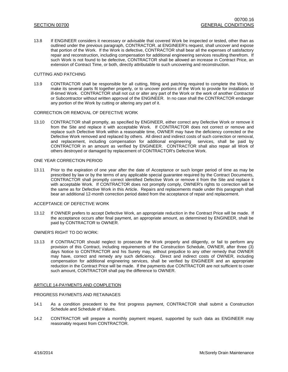13.8 If ENGINEER considers it necessary or advisable that covered Work be inspected or tested, other than as outlined under the previous paragraph, CONTRACTOR, at ENGINEER's request, shall uncover and expose that portion of the Work. If the Work is defective, CONTRACTOR shall bear all the expenses of satisfactory repair and reconstruction, including compensation for additional engineering services resulting therefrom. If such Work is not found to be defective, CONTRACTOR shall be allowed an increase in Contract Price, an extension of Contract Time, or both, directly attributable to such uncovering and reconstruction.

#### CUTTING AND PATCHING

13.9 CONTRACTOR shall be responsible for all cutting, fitting and patching required to complete the Work, to make its several parts fit together properly, or to uncover portions of the Work to provide for installation of ill-timed Work. CONTRACTOR shall not cut or alter any part of the Work or the work of another Contractor or Subcontractor without written approval of the ENGINEER. In no case shall the CONTRACTOR endanger any portion of the Work by cutting or altering any part of it.

#### CORRECTION OR REMOVAL OF DEFECTIVE WORK

13.10 CONTRACTOR shall promptly, as specified by ENGINEER, either correct any Defective Work or remove it from the Site and replace it with acceptable Work. If CONTRACTOR does not correct or remove and replace such Defective Work within a reasonable time, OWNER may have the deficiency corrected or the Defective Work removed and replaced by others. All direct and indirect costs of such correction or removal, and replacement, including compensation for additional engineering services, shall be paid by CONTRACTOR in an amount as verified by ENGINEER. CONTRACTOR shall also repair all Work of others destroyed or damaged by replacement of CONTRACTOR's Defective Work.

#### ONE YEAR CORRECTION PERIOD

13.11 Prior to the expiration of one year after the date of Acceptance or such longer period of time as may be prescribed by law or by the terms of any applicable special guarantee required by the Contract Documents, CONTRACTOR shall promptly correct identified Defective Work or remove it from the Site and replace it with acceptable Work. If CONTRACTOR does not promptly comply, OWNER's rights to correction will be the same as for Defective Work in this Article. Repairs and replacements made under this paragraph shall bear an additional 12-month correction period dated from the acceptance of repair and replacement.

#### ACCEPTANCE OF DEFECTIVE WORK

13.12 If OWNER prefers to accept Defective Work, an appropriate reduction in the Contract Price will be made. If the acceptance occurs after final payment, an appropriate amount, as determined by ENGINEER, shall be paid by CONTRACTOR to OWNER.

### OWNER'S RIGHT TO DO WORK:

13.13 If CONTRACTOR should neglect to prosecute the Work properly and diligently, or fail to perform any provision of this Contract, including requirements of the Construction Schedule, OWNER, after three (3) days Notice to CONTRACTOR and his Surety may, without prejudice to any other remedy that OWNER may have, correct and remedy any such deficiency. Direct and indirect costs of OWNER, including compensation for additional engineering services, shall be verified by ENGINEER and an appropriate reduction in the Contract Price will be made. If the payments due CONTRACTOR are not sufficient to cover such amount, CONTRACTOR shall pay the difference to OWNER.

#### ARTICLE 14-PAYMENTS AND COMPLETION

#### PROGRESS PAYMENTS AND RETAINAGES

- 14.1 As a condition precedent to the first progress payment, CONTRACTOR shall submit a Construction Schedule and Schedule of Values.
- 14.2 CONTRACTOR will prepare a monthly payment request, supported by such data as ENGINEER may reasonably request from CONTRACTOR.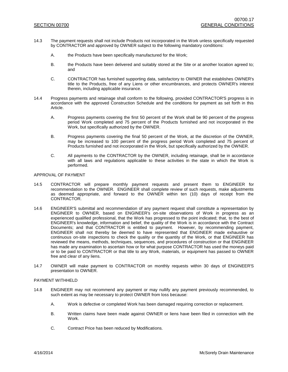- 14.3 The payment requests shall not include Products not incorporated in the Work unless specifically requested by CONTRACTOR and approved by OWNER subject to the following mandatory conditions:
	- A. the Products have been specifically manufactured for the Work;
	- B. the Products have been delivered and suitably stored at the Site or at another location agreed to; and
	- C. CONTRACTOR has furnished supporting data, satisfactory to OWNER that establishes OWNER's title to the Products, free of any Liens or other encumbrances, and protects OWNER's interest therein, including applicable insurance.
- 14.4 Progress payments and retainage shall conform to the following, provided CONTRACTOR'S progress is in accordance with the approved Construction Schedule and the conditions for payment as set forth in this Article.
	- A. Progress payments covering the first 50 percent of the Work shall be 90 percent of the progress period Work completed and 75 percent of the Products furnished and not incorporated in the Work, but specifically authorized by the OWNER.
	- B. Progress payments covering the final 50 percent of the Work, at the discretion of the OWNER, may be increased to 100 percent of the progress period Work completed and 75 percent of Products furnished and not incorporated in the Work, but specifically authorized by the OWNER.
	- C. All payments to the CONTRACTOR by the OWNER, including retainage, shall be in accordance with all laws and regulations applicable to these activities in the state in which the Work is performed.

#### APPROVAL OF PAYMENT

- 14.5 CONTRACTOR will prepare monthly payment requests and present them to ENGINEER for recommendation to the OWNER. ENGINEER shall complete review of such requests, make adjustments as deemed appropriate, and forward to the OWNER within ten (10) days of receipt from the CONTRACTOR.
- 14.6 ENGINEER'S submittal and recommendation of any payment request shall constitute a representation by ENGINEER to OWNER, based on ENGINEER's on-site observations of Work in progress as an experienced qualified professional, that the Work has progressed to the point indicated; that, to the best of ENGINEER's knowledge, information and belief, the quality of the Work is in accordance with the Contract Documents; and that CONTRACTOR is entitled to payment. However, by recommending payment, ENGINEER shall not thereby be deemed to have represented that ENGINEER made exhaustive or continuous on-site inspections to check the quality or the quantity of the Work, or that ENGINEER has reviewed the means, methods, techniques, sequences, and procedures of construction or that ENGINEER has made any examination to ascertain how or for what purpose CONTRACTOR has used the moneys paid or to be paid to CONTRACTOR or that title to any Work, materials, or equipment has passed to OWNER free and clear of any liens.
- 14.7 OWNER will make payment to CONTRACTOR on monthly requests within 30 days of ENGINEER'S presentation to OWNER.

#### PAYMENT WITHHELD

- 14.8 ENGINEER may not recommend any payment or may nullify any payment previously recommended, to such extent as may be necessary to protect OWNER from loss because:
	- A. Work is defective or completed Work has been damaged requiring correction or replacement.
	- B. Written claims have been made against OWNER or liens have been filed in connection with the Work.
	- C. Contract Price has been reduced by Modifications.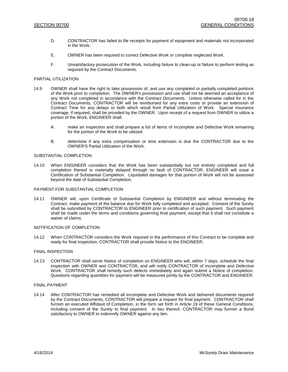- D. CONTRACTOR has failed to file receipts for payment of equipment and materials not incorporated in the Work.
- E. OWNER has been required to correct Defective Work or complete neglected Work.
- F. Unsatisfactory prosecution of the Work, including failure to clean-up or failure to perform testing as required by the Contract Documents.

#### PARTIAL UTILIZATION

- 14.9 OWNER shall have the right to take possession of, and use any completed or partially completed portions of the Work prior to completion. The OWNER's possession and use shall not be deemed an acceptance of any Work not completed in accordance with the Contract Documents. Unless otherwise called for in the Contract Documents, CONTRACTOR will be reimbursed for any extra costs or provide an extension of Contract Time for any delays or both which result from Partial Utilization of Work. Special insurance coverage, if required, shall be provided by the OWNER. Upon receipt of a request from OWNER to utilize a portion of the Work, ENGINEER shall:
	- A. make an inspection and shall prepare a list of items of incomplete and Defective Work remaining for the portion of the Work to be utilized.
	- B. determine if any extra compensation or time extension is due the CONTRACTOR due to the OWNER'S Partial Utilization of the Work.

#### SUBSTANTIAL COMPLETION

14.10 When ENGINEER considers that the Work has been substantially but not entirely completed and full completion thereof is materially delayed through no fault of CONTRACTOR, ENGINEER will issue a Certification of Substantial Completion. Liquidated damages for that portion of Work will not be assessed beyond the date of Substantial Completion.

#### PAYMENT FOR SUBSTANTIAL COMPLETION

14.11 OWNER will, upon Certificate of Substantial Completion by ENGINEER and without terminating the Contract, make payment of the balance due for Work fully completed and accepted. Consent of the Surety shall be submitted by CONTRACTOR to ENGINEER prior to certification of such payment. Such payment shall be made under the terms and conditions governing final payment, except that it shall not constitute a waiver of claims.

#### NOTIFICATION OF COMPLETION

14.12 When CONTRACTOR considers the Work required in the performance of this Contract to be complete and ready for final inspection, CONTRACTOR shall provide Notice to the ENGINEER.

#### FINAL INSPECTION

14.13 CONTRACTOR shall serve Notice of completion on ENGINEER who will, within 7 days, schedule the final inspection with OWNER and CONTRACTOR, and will notify CONTRACTOR of incomplete and Defective Work. CONTRACTOR shall remedy such defects immediately and again submit a Notice of completion. Questions regarding quantities for payment will be measured jointly by the CONTRACTOR and ENGINEER.

#### FINAL PAYMENT

14.14 After CONTRACTOR has remedied all incomplete and Defective Work and delivered documents required by the Contract Documents, CONTRACTOR will prepare a request for final payment. CONTRACTOR shall furnish an executed Affidavit of Completion, in the form set forth in Article 19 of these General Conditions, including consent of the Surety to final payment. In lieu thereof, CONTRACTOR may furnish a Bond satisfactory to OWNER to indemnify OWNER against any lien.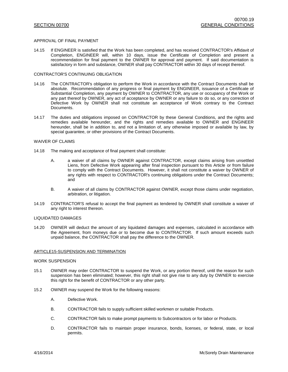#### APPROVAL OF FINAL PAYMENT

14.15 If ENGINEER is satisfied that the Work has been completed, and has received CONTRACTOR's Affidavit of Completion, ENGINEER will, within 10 days, issue the Certificate of Completion and present a recommendation for final payment to the OWNER for approval and payment. If said documentation is satisfactory in form and substance, OWNER shall pay CONTRACTOR within 30 days of receipt thereof.

#### CONTRACTOR'S CONTINUING OBLIGATION

- 14.16 The CONTRACTOR's obligation to perform the Work in accordance with the Contract Documents shall be absolute. Recommendation of any progress or final payment by ENGINEER, issuance of a Certificate of Substantial Completion, any payment by OWNER to CONTRACTOR, any use or occupancy of the Work or any part thereof by OWNER, any act of acceptance by OWNER or any failure to do so, or any correction of Defective Work by OWNER shall not constitute an acceptance of Work contrary to the Contract Documents.
- 14.17 The duties and obligations imposed on CONTRACTOR by these General Conditions, and the rights and remedies available hereunder, and the rights and remedies available to OWNER and ENGINEER hereunder, shall be in addition to, and not a limitation of, any otherwise imposed or available by law, by special guarantee, or other provisions of the Contract Documents.

#### WAIVER OF CLAIMS

- 14.18 The making and acceptance of final payment shall constitute:
	- A. a waiver of all claims by OWNER against CONTRACTOR, except claims arising from unsettled Liens, from Defective Work appearing after final inspection pursuant to this Article or from failure to comply with the Contract Documents. However, it shall not constitute a waiver by OWNER of any rights with respect to CONTRACTOR's continuing obligations under the Contract Documents; and
	- B. A waiver of all claims by CONTRACTOR against OWNER, except those claims under negotiation, arbitration, or litigation.
- 14.19 CONTRACTOR'S refusal to accept the final payment as tendered by OWNER shall constitute a waiver of any right to interest thereon.

#### LIQUIDATED DAMAGES

14.20 OWNER will deduct the amount of any liquidated damages and expenses, calculated in accordance with the Agreement, from moneys due or to become due to CONTRACTOR. If such amount exceeds such unpaid balance, the CONTRACTOR shall pay the difference to the OWNER.

#### ARTICLE15-SUSPENSION AND TERMINATION

#### WORK SUSPENSION

- 15.1 OWNER may order CONTRACTOR to suspend the Work, or any portion thereof, until the reason for such suspension has been eliminated; however, this right shall not give rise to any duty by OWNER to exercise this right for the benefit of CONTRACTOR or any other party.
- 15.2 OWNER may suspend the Work for the following reasons:
	- A. Defective Work.
	- B. CONTRACTOR fails to supply sufficient skilled workmen or suitable Products.
	- C. CONTRACTOR fails to make prompt payments to Subcontractors or for labor or Products.
	- D. CONTRACTOR fails to maintain proper insurance, bonds, licenses, or federal, state, or local permits.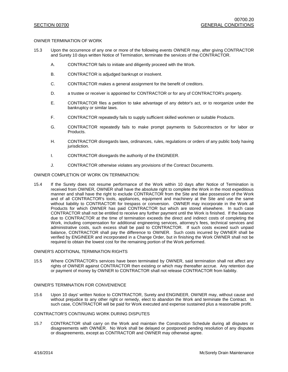#### OWNER TERMINATION OF WORK

- 15.3 Upon the occurrence of any one or more of the following events OWNER may, after giving CONTRACTOR and Surety 10 days written Notice of Termination, terminate the services of the CONTRACTOR.
	- A. CONTRACTOR fails to initiate and diligently proceed with the Work.
	- B. CONTRACTOR is adjudged bankrupt or insolvent.
	- C. CONTRACTOR makes a general assignment for the benefit of creditors.
	- D. a trustee or receiver is appointed for CONTRACTOR or for any of CONTRACTOR's property.
	- E. CONTRACTOR files a petition to take advantage of any debtor's act, or to reorganize under the bankruptcy or similar laws.
	- F. CONTRACTOR repeatedly fails to supply sufficient skilled workmen or suitable Products.
	- G. CONTRACTOR repeatedly fails to make prompt payments to Subcontractors or for labor or Products.
	- H. CONTRACTOR disregards laws, ordinances, rules, regulations or orders of any public body having jurisdiction.
	- I. CONTRACTOR disregards the authority of the ENGINEER.
	- J. CONTRACTOR otherwise violates any provisions of the Contract Documents.

#### OWNER COMPLETION OF WORK ON TERMINATION:

15.4 If the Surety does not resume performance of the Work within 10 days after Notice of Termination is received from OWNER, OWNER shall have the absolute right to complete the Work in the most expeditious manner and shall have the right to exclude CONTRACTOR from the Site and take possession of the Work and of all CONTRACTOR's tools, appliances, equipment and machinery at the Site and use the same without liability to CONTRACTOR for trespass or conversion. OWNER may incorporate in the Work all Products for which OWNER has paid CONTRACTOR but which are stored elsewhere. In such case CONTRACTOR shall not be entitled to receive any further payment until the Work is finished. If the balance due to CONTRACTOR at the time of termination exceeds the direct and indirect costs of completing the Work, including compensation for additional engineering services, attorney's fees, technical services and administrative costs, such excess shall be paid to CONTRACTOR. If such costs exceed such unpaid balance, CONTRACTOR shall pay the difference to OWNER. Such costs incurred by OWNER shall be verified by ENGINEER and incorporated in a Change Order, but in finishing the Work OWNER shall not be required to obtain the lowest cost for the remaining portion of the Work performed.

#### OWNER'S ADDITIONAL TERMINATION RIGHTS

15.5 Where CONTRACTOR's services have been terminated by OWNER, said termination shall not affect any rights of OWNER against CONTRACTOR then existing or which may thereafter accrue. Any retention due or payment of money by OWNER to CONTRACTOR shall not release CONTRACTOR from liability.

#### OWNER'S TERMINATION FOR CONVENIENCE

15.6 Upon 10 days' written Notice to CONTRACTOR, Surety and ENGINEER, OWNER may, without cause and without prejudice to any other right or remedy, elect to abandon the Work and terminate the Contract. In such case, CONTRACTOR will be paid for Work executed and expense sustained plus a reasonable profit.

#### CONTRACTOR'S CONTINUING WORK DURING DISPUTES

15.7 CONTRACTOR shall carry on the Work and maintain the Construction Schedule during all disputes or disagreements with OWNER. No Work shall be delayed or postponed pending resolution of any disputes or disagreements, except as CONTRACTOR and OWNER may otherwise agree.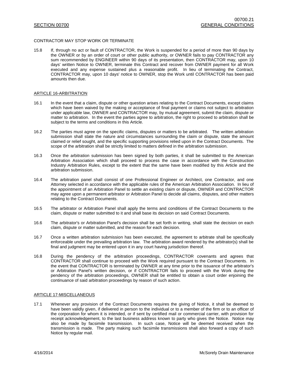#### CONTRACTOR MAY STOP WORK OR TERMINATE

15.8 If, through no act or fault of CONTRACTOR, the Work is suspended for a period of more than 90 days by the OWNER or by an order of court or other public authority, or OWNER fails to pay CONTRACTOR any sum recommended by ENGINEER within 90 days of its presentation, then CONTRACTOR may, upon 10 days' written Notice to OWNER, terminate this Contract and recover from OWNER payment for all Work executed and any expense sustained plus a reasonable profit. In lieu of terminating the Contract, CONTRACTOR may, upon 10 days' notice to OWNER, stop the Work until CONTRACTOR has been paid amounts then due.

#### ARTICLE 16-ARBITRATION

- 16.1 In the event that a claim, dispute or other question arises relating to the Contract Documents, except claims which have been waived by the making or acceptance of final payment or claims not subject to arbitration under applicable law, OWNER and CONTRACTOR may, by mutual agreement, submit the claim, dispute or matter to arbitration. In the event the parties agree to arbitration, the right to proceed to arbitration shall be subject to the terms and conditions in this Article.
- 16.2 The parties must agree on the specific claims, disputes or matters to be arbitrated. The written arbitration submission shall state the nature and circumstances surrounding the claim or dispute, state the amount claimed or relief sought, and the specific supporting provisions relied upon in the Contract Documents. The scope of the arbitration shall be strictly limited to matters defined in the arbitration submission.
- 16.3 Once the arbitration submission has been signed by both parties, it shall be submitted to the American Arbitration Association which shall proceed to process the case in accordance with the Construction Industry Arbitration Rules, except to the extent that the same have been modified by this Article and the arbitration submission.
- 16.4 The arbitration panel shall consist of one Professional Engineer or Architect, one Contractor, and one Attorney selected in accordance with the applicable rules of the American Arbitration Association. In lieu of the appointment of an Arbitration Panel to settle an existing claim or dispute, OWNER and CONTRACTOR may agree upon a permanent arbitrator or Arbitration Panel to decide all claims, disputes, and other matters relating to the Contract Documents.
- 16.5 The arbitrator or Arbitration Panel shall apply the terms and conditions of the Contract Documents to the claim, dispute or matter submitted to it and shall base its decision on said Contract Documents.
- 16.6 The arbitrator's or Arbitration Panel's decision shall be set forth in writing, shall state the decision on each claim, dispute or matter submitted, and the reason for each decision.
- 16.7 Once a written arbitration submission has been executed, the agreement to arbitrate shall be specifically enforceable under the prevailing arbitration law. The arbitration award rendered by the arbitrator(s) shall be final and judgment may be entered upon it in any court having jurisdiction thereof.
- 16.8 During the pendency of the arbitration proceedings, CONTRACTOR covenants and agrees that CONTRACTOR shall continue to proceed with the Work required pursuant to the Contract Documents. In the event that CONTRACTOR is terminated by OWNER at any time prior to the issuance of the arbitrator's or Arbitration Panel's written decision, or if CONTRACTOR fails to proceed with the Work during the pendency of the arbitration proceedings, OWNER shall be entitled to obtain a court order enjoining the continuance of said arbitration proceedings by reason of such action.

#### ARTICLE 17-MISCELLANEOUS

17.1 Whenever any provision of the Contract Documents requires the giving of Notice, it shall be deemed to have been validly given, if delivered in person to the individual or to a member of the firm or to an officer of the corporation for whom it is intended, or if sent by certified mail or commercial carrier, with provision for receipt acknowledgement, to the last business address known to party who gives the Notice. Notice may also be made by facsimile transmission. In such case, Notice will be deemed received when the transmission is made. The party making such facsimile transmissions shall also forward a copy of such Notice by regular mail.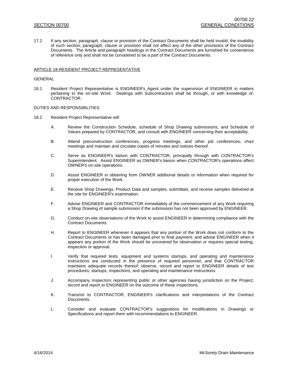17.2 If any section, paragraph, clause or provision of the Contract Documents shall be held invalid, the invalidity of such section, paragraph, clause or provision shall not affect any of the other provisions of the Contract Documents. The Article and paragraph headings in the Contract Documents are furnished for convenience of reference only and shall not be considered to be a part of the Contract Documents.

#### ARTICLE 18-RESIDENT PROJECT REPRESENTATIVE

#### GENERAL

18.1 Resident Project Representative is ENGINEER's Agent under the supervision of ENGINEER in matters pertaining to the on-site Work. Dealings with Subcontractors shall be through, or with knowledge of, CONTRACTOR.

DUTIES AND RESPONSIBILITIES

- 18.2 Resident Project Representative will:
	- A. Review the Construction Schedule, schedule of Shop Drawing submissions, and Schedule of Values prepared by CONTRACTOR, and consult with ENGINEER concerning their acceptability.
	- B. Attend preconstruction conferences, progress meetings, and other job conferences; chair meetings and maintain and circulate copies of minutes and notices thereof.
	- C. Serve as ENGINEER's liaison with CONTRACTOR, principally through with CONTRACTOR's Superintendent. Assist ENGINEER as OWNER's liaison when CONTRACTOR's operations affect OWNER's on-site operations.
	- D. Assist ENGINEER in obtaining from OWNER additional details or information when required for proper execution of the Work.
	- E. Receive Shop Drawings, Product Data and samples, submittals, and receive samples delivered at the site for ENGINEER's examination.
	- F. Advise ENGINEER and CONTRACTOR immediately of the commencement of any Work requiring a Shop Drawing of sample submission if the submission has not been approved by ENGINEER.
	- G. Conduct on-site observations of the Work to assist ENGINEER in determining compliance with the Contract Documents.
	- H. Report to ENGINEER whenever it appears that any portion of the Work does not conform to the Contract Documents or has been damaged prior to final payment; and advise ENGINEER when it appears any portion of the Work should be uncovered for observation or requires special testing, inspection or approval.
	- I. Verify that required tests, equipment and systems startups, and operating and maintenance instructions are conducted in the presence of required personnel, and that CONTRACTOR maintains adequate records thereof; observe, record and report to ENGINEER details of test procedures, startups, inspections, and operating and maintenance instructions.
	- J. Accompany inspectors representing public or other agencies having jurisdiction on the Project; record and report to ENGINEER on the outcome of these inspections.
	- K. Transmit to CONTRACTOR, ENGINEER's clarifications and interpretations of the Contract Documents.
	- L. Consider and evaluate CONTRACTOR's suggestions for modifications in Drawings or Specifications and report them with recommendations to ENGINEER.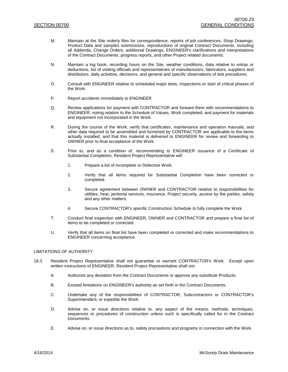- M. Maintain at the Site orderly files for correspondence, reports of job conferences, Shop Drawings, Product Data and samples submissions, reproductions of original Contract Documents, including all Addenda, Change Orders, additional Drawings, ENGINEER's clarifications and interpretations of the Contract Documents, progress reports, and other Project related documents.
- N. Maintain a log book, recording hours on the Site, weather conditions, data relative to extras or deductions, list of visiting officials and representatives of manufacturers, fabricators, suppliers and distributors, daily activities, decisions, and general and specific observations of test procedures.
- O. Consult with ENGINEER relative to scheduled major tests, inspections or start of critical phases of the Work.
- P. Report accidents immediately to ENGINEER.
- Q. Review applications for payment with CONTRACTOR and forward them with recommendations to ENGINEER, noting relation to the Schedule of Values, Work completed, and payment for materials and equipment not incorporated in the Work.
- R. During the course of the Work, verify that certificates, maintenance and operation manuals, and other data required to be assembled and furnished by CONTRACTOR are applicable to the items actually installed; and that this material is delivered to ENGINEER for review and forwarding to OWNER prior to final acceptance of the Work.
- S. Prior to, and as a condition of, recommending to ENGINEER issuance of a Certificate of Substantial Completion, Resident Project Representative will:
	- 1. Prepare a list of incomplete or Defective Work.
	- 2. Verify that all items required for Substantial Completion have been corrected or completed.
	- 3. Secure agreement between OWNER and CONTRACTOR relative to responsibilities for utilities, heat, janitorial services, insurance, Project security, access by the parties, safety and any other matters.
	- 4. Secure CONTRACTOR's specific Construction Schedule to fully complete the Work.
- T. Conduct final inspection with ENGINEER, OWNER and CONTRACTOR and prepare a final list of items to be completed or corrected.
- U. Verify that all items on final list have been completed or corrected and make recommendations to ENGINEER concerning acceptance.

#### LIMITATIONS OF AUTHORITY

- 18.3 Resident Project Representative shall not guarantee or warrant CONTRACTOR's Work. Except upon written instructions of ENGINEER, Resident Project Representative shall not:
	- A. Authorize any deviation from the Contract Documents or approve any substitute Products.
	- B. Exceed limitations on ENGINEER's authority as set forth in the Contract Documents.
	- C. Undertake any of the responsibilities of CONTRACTOR, Subcontractors or CONTRACTOR's Superintendent, or expedite the Work.
	- D. Advise on, or issue directions relative to, any aspect of the means, methods, techniques, sequences or procedures of construction unless such is specifically called for in the Contract Documents.
	- E. Advise on, or issue directions as to, safety precautions and programs in connection with the Work.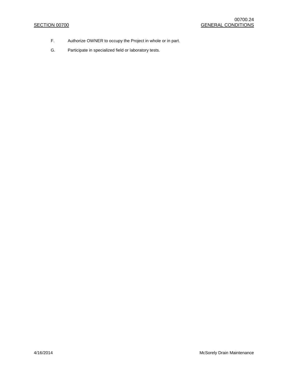- F. Authorize OWNER to occupy the Project in whole or in part.
- G. Participate in specialized field or laboratory tests.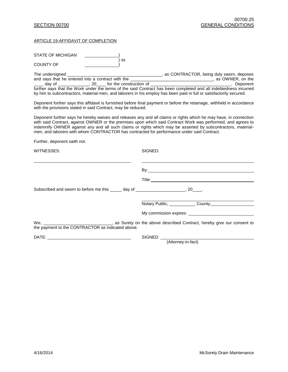# ARTICLE 19-AFFIDAVIT OF COMPLETION

| STATE OF MICHIGAN<br>SS                                                                                             |                                                                                                                                                                                                                                                                                                                                                   |
|---------------------------------------------------------------------------------------------------------------------|---------------------------------------------------------------------------------------------------------------------------------------------------------------------------------------------------------------------------------------------------------------------------------------------------------------------------------------------------|
| <b>COUNTY OF</b>                                                                                                    |                                                                                                                                                                                                                                                                                                                                                   |
| by him to subcontractors, material-men, and laborers in his employ has been paid in full or satisfactorily secured. | further says that the Work under the terms of the said Contract has been completed and all indebtedness incurred                                                                                                                                                                                                                                  |
| with the provisions stated in said Contract, may be reduced.                                                        | Deponent further says this affidavit is furnished before final payment or before the retainage, withheld in accordance                                                                                                                                                                                                                            |
| men, and laborers with whom CONTRACTOR has contracted for performance under said Contract.                          | Deponent further says he hereby waives and releases any and all claims or rights which he may have, in connection<br>with said Contract, against OWNER or the premises upon which said Contract Work was performed, and agrees to<br>indemnify OWNER against any and all such claims or rights which may be asserted by subcontractors, material- |
| Further, deponent saith not.                                                                                        |                                                                                                                                                                                                                                                                                                                                                   |
| WITNESSES:                                                                                                          | SIGNED:                                                                                                                                                                                                                                                                                                                                           |
|                                                                                                                     | By: <u>the contract of the contract of the contract of the contract of the contract of the contract of the contract of the contract of the contract of the contract of the contract of the contract of the contract of the contr</u>                                                                                                              |
|                                                                                                                     | Title: The contract of the contract of the contract of the contract of the contract of the contract of the contract of the contract of the contract of the contract of the contract of the contract of the contract of the con                                                                                                                    |
| Subscribed and sworn to before me this _____ day of _____________________, 20____.                                  |                                                                                                                                                                                                                                                                                                                                                   |
|                                                                                                                     | Notary Public, County,                                                                                                                                                                                                                                                                                                                            |
|                                                                                                                     |                                                                                                                                                                                                                                                                                                                                                   |
| the payment to the CONTRACTOR as indicated above.                                                                   |                                                                                                                                                                                                                                                                                                                                                   |
|                                                                                                                     |                                                                                                                                                                                                                                                                                                                                                   |
|                                                                                                                     | (Attorney-in-fact)                                                                                                                                                                                                                                                                                                                                |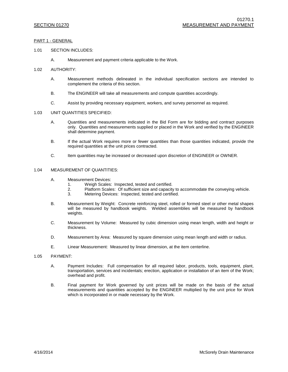#### PART 1 - GENERAL

#### 1.01 SECTION INCLUDES:

- A. Measurement and payment criteria applicable to the Work.
- 1.02 AUTHORITY:
	- A. Measurement methods delineated in the individual specification sections are intended to complement the criteria of this section.
	- B. The ENGINEER will take all measurements and compute quantities accordingly.
	- C. Assist by providing necessary equipment, workers, and survey personnel as required.

#### 1.03 UNIT QUANTITIES SPECIFIED:

- A. Quantities and measurements indicated in the Bid Form are for bidding and contract purposes only. Quantities and measurements supplied or placed in the Work and verified by the ENGINEER shall determine payment.
- B. If the actual Work requires more or fewer quantities than those quantities indicated, provide the required quantities at the unit prices contracted.
- C. Item quantities may be increased or decreased upon discretion of ENGINEER or OWNER.

#### 1.04 MEASUREMENT OF QUANTITIES:

- A. Measurement Devices:
	- 1. Weigh Scales: Inspected, tested and certified.
	- 2. Platform Scales: Of sufficient size and capacity to accommodate the conveying vehicle.<br>3. Metering Devices: Inspected, tested and certified.
	- Metering Devices: Inspected, tested and certified.
- B. Measurement by Weight: Concrete reinforcing steel, rolled or formed steel or other metal shapes will be measured by handbook weights. Welded assemblies will be measured by handbook weights.
- C. Measurement by Volume: Measured by cubic dimension using mean length, width and height or thickness.
- D. Measurement by Area: Measured by square dimension using mean length and width or radius.
- E. Linear Measurement: Measured by linear dimension, at the item centerline.

#### 1.05 PAYMENT:

- A. Payment Includes: Full compensation for all required labor, products, tools, equipment, plant, transportation, services and incidentals; erection, application or installation of an item of the Work; overhead and profit.
- B. Final payment for Work governed by unit prices will be made on the basis of the actual measurements and quantities accepted by the ENGINEER multiplied by the unit price for Work which is incorporated in or made necessary by the Work.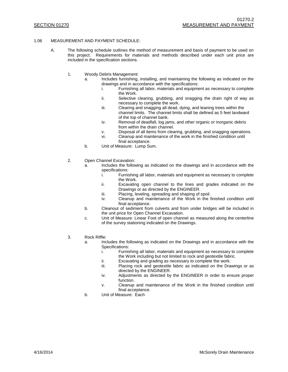#### 1.06 MEASUREMENT AND PAYMENT SCHEDULE:

- A. The following schedule outlines the method of measurement and basis of payment to be used on this project. Requirements for materials and methods described under each unit price are included in the specification sections.
	- 1. Woody Debris Management:
		- a. Includes furnishing, installing, and maintaining the following as indicated on the drawings and in accordance with the specifications:
			- i. Furnishing all labor, materials and equipment as necessary to complete the Work.
			- ii. Selective clearing, grubbing, and snagging the drain right of way as necessary to complete the work.
			- iii. Clearing and snagging all dead, dying, and leaning trees within the channel limits. The channel limits shall be defined as 5 feet landward of the top of channel bank.
			- iv. Removal of deadfall, log jams, and other organic or inorganic debris from within the drain channel.
			- v. Disposal of all items from clearing, grubbing, and snagging operations.
			- vi. Cleanup and maintenance of the work in the finished condition until
			- final acceptance.
		- b. Unit of Measure: Lump Sum.
	- 2. Open Channel Excavation:
		- a. Includes the following as indicated on the drawings and in accordance with the specifications:
			- i. Furnishing all labor, materials and equipment as necessary to complete the Work.
			- ii. Excavating open channel to the lines and grades indicated on the Drawings or as directed by the ENGINEER.
			- iii. Placing, leveling, spreading and shaping of spoil.
			- iv. Cleanup and maintenance of the Work in the finished condition until final acceptance.
		- b. Cleanout of sediment from culverts and from under bridges will be included in the unit price for Open Channel Excavation.
		- c. Unit of Measure: Linear Foot of open channel as measured along the centerline of the survey stationing indicated on the Drawings.
	- 3. Rock Riffle:
		- a. Includes the following as indicated on the Drawings and in accordance with the Specifications:
			- i. Furnishing all labor, materials and equipment as necessary to complete the Work including but not limited to rock and geotextile fabric.
			- ii. Excavating and grading as necessary to complete the work.
			- iii. Placing rock and geotextile fabric as indicated on the Drawings or as directed by the ENGINEER.
			- iv. Adjustments as directed by the ENGINEER in order to ensure proper function.
			- v. Cleanup and maintenance of the Work in the finished condition until final acceptance.
		- b. Unit of Measure: Each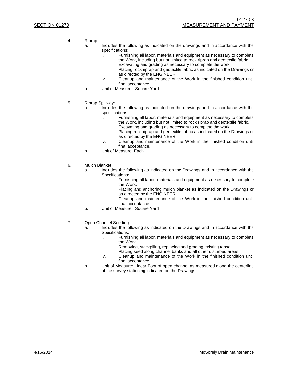- 4. Riprap:
	- a. Includes the following as indicated on the drawings and in accordance with the specifications:
		- i. Furnishing all labor, materials and equipment as necessary to complete the Work, including but not limited to rock riprap and geotextile fabric.
		- ii. Excavating and grading as necessary to complete the work.<br>iii. Placing rock riprap and geotextile fabric as indicated on the
		- Placing rock riprap and geotextile fabric as indicated on the Drawings or as directed by the ENGINEER.
		- iv. Cleanup and maintenance of the Work in the finished condition until final acceptance.
	- b. Unit of Measure: Square Yard.
- 5. Riprap Spillway:
	- a. Includes the following as indicated on the drawings and in accordance with the specifications:<br>i. Furnis
		- Furnishing all labor, materials and equipment as necessary to complete the Work, including but not limited to rock riprap and geotextile fabric..
		- ii. Excavating and grading as necessary to complete the work.
		- iii. Placing rock riprap and geotextile fabric as indicated on the Drawings or as directed by the ENGINEER.
		- iv. Cleanup and maintenance of the Work in the finished condition until final acceptance.
	- b. Unit of Measure: Each.
- 6. Mulch Blanket
	- a. Includes the following as indicated on the Drawings and in accordance with the Specifications:
		- i. Furnishing all labor, materials and equipment as necessary to complete the Work.
		- ii. Placing and anchoring mulch blanket as indicated on the Drawings or as directed by the ENGINEER.
		- iii. Cleanup and maintenance of the Work in the finished condition until final acceptance.
	- b. Unit of Measure: Square Yard
- 7. Open Channel Seeding
	- a. Includes the following as indicated on the Drawings and in accordance with the Specifications:<br>i. Furnis
		- Furnishing all labor, materials and equipment as necessary to complete the Work.
		- ii. Removing, stockpiling, replacing and grading existing topsoil.
		- iii. Placing seed along channel banks and all other disturbed areas.
		- iv. Cleanup and maintenance of the Work in the finished condition until final acceptance.
	- b. Unit of Measure: Linear Foot of open channel as measured along the centerline of the survey stationing indicated on the Drawings.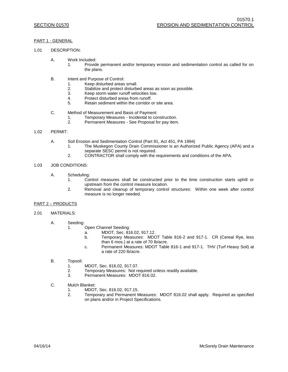### PART 1 - GENERAL

# 1.01 DESCRIPTION:

- A. Work Included:
	- 1. Provide permanent and/or temporary erosion and sedimentation control as called for on the plans.
- B. Intent and Purpose of Control:
	- 1. Keep disturbed areas small.<br>2. Stabilize and protect disturbe
	- 2. Stabilize and protect disturbed areas as soon as possible.<br>3. Keep storm water runoff velocities low.
	- 3. Keep storm water runoff velocities low.<br>4. Protect disturbed areas from runoff.
	- 4. Protect disturbed areas from runoff.<br>5. Retain sediment within the corridor
	- Retain sediment within the corridor or site area.
- C. Method of Measurement and Basis of Payment:
	- 1. Temporary Measures Incidental to construction.<br>2. Permanent Measures See Proposal for pay item
	- Permanent Measures See Proposal for pay item.

#### 1.02 PERMIT:

- A. Soil Erosion and Sedimentation Control (Part 91, Act 451, PA 1994)
	- 1. The Muskegon County Drain Commissioner is an Authorized Public Agency (APA) and a separate SESC permit is not required.
	- 2. CONTRACTOR shall comply with the requirements and conditions of the APA.

### 1.03 JOB CONDITIONS:

- A. Scheduling:
	- 1. Control measures shall be constructed prior to the time construction starts uphill or upstream from the control measure location.
	- 2. Removal and cleanup of temporary control structures: Within one week after control measure is no longer needed.

#### PART 2 – PRODUCTS

- 2.01 MATERIALS:
	- A. Seeding:
		- 1. Open Channel Seeding:
			- a. MDOT, Sec. 816.02, 917.12.
			- b. Temporary Measures: MDOT Table 816-2 and 917-1. CR (Cereal Rye, less than 6 mos.) at a rate of 70 lb/acre.
			- c. Permanent Measures: MDOT Table 816-1 and 917-1. THV (Turf Heavy Soil) at a rate of 220 lb/acre.
	- B. Topsoil:
		- 1. MDOT, Sec. 816.02, 917.07.<br>2. Temporary Measures: Not re
		- Temporary Measures: Not required unless readily available.
		- 3. Permanent Measures: MDOT 816.02.
	- C. Mulch Blanket:
		- 1. MDOT, Sec. 816.02, 917.15.
		- 2. Temporary and Permanent Measures: MDOT 816.02 shall apply. Required as specified on plans and/or in Project Specifications.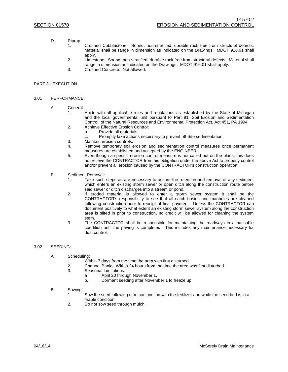- D. Riprap:
	- 1. Crushed Cobblestone: Sound, non-stratified, durable rock free from structural defects. Material shall be range in dimension as indicated on the Drawings. MDOT 916.01 shall apply.
	- 2. Limestone: Sound, non-stratified, durable rock free from structural defects. Material shall range in dimension as indicated on the Drawings. MDOT 916.01 shall apply.
	- 3. Crushed Concrete: Not allowed.

### PART 3 - EXECUTION

#### 3.01 PERFORMANCE:

- A. General:
	- 1. Abide with all applicable rules and regulations as established by the State of Michigan and the local governmental unit pursuant to Part 91, Soil Erosion and Sedimentation Control, of the Natural Resources and Environmental Protection Act, Act 451, PA 1994.
	- 2. Achieve Effective Erosion Control:
		- b. Provide all materials.
		- c. Promptly take actions necessary to prevent off Site sedimentation.
	- 3. Maintain erosion controls.
	- 4. Remove temporary soil erosion and sedimentation control measures once permanent measures are established and accepted by the ENGINEER.
	- 5. Even though a specific erosion control measure is not called out on the plans, this does not relieve the CONTRACTOR from his obligation under the above Act to properly control and/or prevent all erosion caused by the CONTRACTOR's construction operation.
- B. Sediment Removal:
	- 1. Take such steps as are necessary to assure the retention and removal of any sediment which enters an existing storm sewer or open ditch along the construction route before said sewer or ditch discharges into a stream or pond.
	- 2. If eroded material is allowed to enter a storm sewer system it shall be the CONTRACTOR's responsibility to see that all catch basins and manholes are cleaned following construction prior to receipt of final payment. Unless the CONTRACTOR can document positively to what extent an existing storm sewer system along the construction area is silted in prior to construction, no credit will be allowed for cleaning the system stem.
	- 3. The CONTRACTOR shall be responsible for maintaining the roadways in a passable condition until the paving is completed. This includes any maintenance necessary for dust control.

#### 3.02 SEEDING:

- A. Scheduling:
	- 1. Within 7 days from the time the area was first disturbed.
	- 2 Channel Banks: Within 24 hours from the time the area was first disturbed.
	- Seasonal Limitations:
		- a April 20 through November 1.
			- b. Dormant seeding after November 1 to freeze up.
- B. Sowing:
	- 1. Sow the seed following or in conjunction with the fertilizer and while the seed bed is in a friable condition.
	- 2. Do not sow seed through mulch.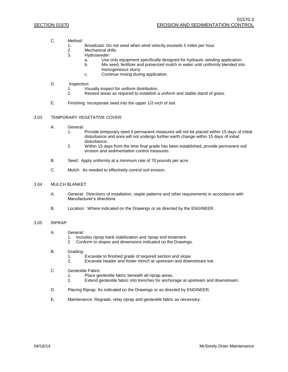- C. Method:
	- 1. Broadcast: Do not seed when wind velocity exceeds 5 miles per hour.<br>2. Mechanical drills.
	- Mechanical drills.
	- 3. Hydroseeder:
		- a. Use only equipment specifically designed for hydraulic seeding application.
			- b. Mix seed, fertilizer and pulverized mulch in water until uniformly blended into homogeneous slurry.
			- c. Continue mixing during application.
- D. Inspection:
	- 1. Visually inspect for uniform distribution.<br>2. Reseed areas as required to establish a
	- Reseed areas as required to establish a uniform and stable stand of grass.
- E. Finishing: Incorporate seed into the upper 1/2-inch of soil.

#### 3.03 TEMPORARY VEGETATIVE COVER:

- A. General:
	- 1. Provide temporary seed if permanent measures will not be placed within 15 days of initial disturbance and area will not undergo further earth change within 15 days of initial disturbance:
	- 2. Within 15 days from the time final grade has been established, provide permanent soil erosion and sedimentation control measures.
- B. Seed: Apply uniformly at a minimum rate of 70 pounds per acre.
- C. Mulch: As needed to effectively control soil erosion.

#### 3.04 MULCH BLANKET:

- A. General: Directions of installation, staple patterns and other requirements in accordance with Manufacturer's directions.
- B. Location: Where indicated on the Drawings or as directed by the ENGINEER.

# 3.05 RIPRAP:

- A. General:
	- 1. Includes riprap bank stabilization and riprap end treatment.
	- 2. Conform to slopes and dimensions indicated on the Drawings.

#### B. Grading:

- 1. Excavate to finished grade of required section and slope.<br>2. Excavate header and footer trench at upstream and down
- Excavate header and footer trench at upstream and downstream toe.
- C. Geotextile Fabric:
	- 1. Place geotextile fabric beneath all riprap areas.
	- 2. Extend geotextile fabric into trenches for anchorage at upstream and downstream.
- D. Placing Riprap: As indicated on the Drawings or as directed by ENGINEER.
- E. Maintenance: Regrade, relay riprap and geotextile fabric as necessary.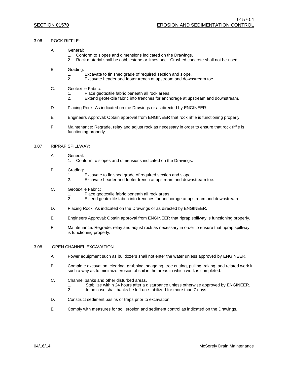#### 3.06 ROCK RIFFLE:

- A. General:
	- 1. Conform to slopes and dimensions indicated on the Drawings.
	- 2. Rock material shall be cobblestone or limestone. Crushed concrete shall not be used.
- B. Grading:
	- 1. Excavate to finished grade of required section and slope.
	- 2. Excavate header and footer trench at upstream and downstream toe.
- C. Geotextile Fabric:
	- 1. Place geotextile fabric beneath all rock areas.
	- 2. Extend geotextile fabric into trenches for anchorage at upstream and downstream.
- D. Placing Rock: As indicated on the Drawings or as directed by ENGINEER.
- E. Engineers Approval: Obtain approval from ENGINEER that rock riffle is functioning properly.
- F. Maintenance: Regrade, relay and adjust rock as necessary in order to ensure that rock riffle is functioning properly.

#### 3.07 RIPRAP SPILLWAY:

- A. General:
	- 1. Conform to slopes and dimensions indicated on the Drawings.
- B. Grading:
	- 1. Excavate to finished grade of required section and slope.
	- 2. Excavate header and footer trench at upstream and downstream toe.
- C. Geotextile Fabric:
	- 1. Place geotextile fabric beneath all rock areas.<br>2. Extend geotextile fabric into trenches for anch
	- Extend geotextile fabric into trenches for anchorage at upstream and downstream.
- D. Placing Rock: As indicated on the Drawings or as directed by ENGINEER.
- E. Engineers Approval: Obtain approval from ENGINEER that riprap spillway is functioning properly.
- F. Maintenance: Regrade, relay and adjust rock as necessary in order to ensure that riprap spillway is functioning properly.

#### 3.08 OPEN CHANNEL EXCAVATION

- A. Power equipment such as bulldozers shall not enter the water unless approved by ENGINEER.
- B. Complete excavation, clearing, grubbing, snagging, tree cutting, pulling, raking, and related work in such a way as to minimize erosion of soil in the areas in which work is completed.
- C. Channel banks and other disturbed areas.
	- 1. Stabilize within 24 hours after a disturbance unless otherwise approved by ENGINEER.<br>2. In no case shall banks be left un-stabilized for more than 7 days.
	- In no case shall banks be left un-stabilized for more than 7 days.
- D. Construct sediment basins or traps prior to excavation.
- E. Comply with measures for soil erosion and sediment control as indicated on the Drawings.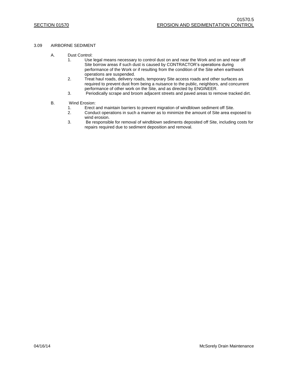#### 3.09 AIRBORNE SEDIMENT

- A. Dust Control:
	- 1. Use legal means necessary to control dust on and near the Work and on and near off Site borrow areas if such dust is caused by CONTRACTOR's operations during performance of the Work or if resulting from the condition of the Site when earthwork operations are suspended.
	- 2. Treat haul roads, delivery roads, temporary Site access roads and other surfaces as required to prevent dust from being a nuisance to the public, neighbors, and concurrent performance of other work on the Site, and as directed by ENGINEER.
	- 3. Periodically scrape and broom adjacent streets and paved areas to remove tracked dirt.
- B. Wind Erosion:
	- 1. Erect and maintain barriers to prevent migration of windblown sediment off Site.
	- 2. Conduct operations in such a manner as to minimize the amount of Site area exposed to wind erosion.
	- 3. Be responsible for removal of windblown sediments deposited off Site, including costs for repairs required due to sediment deposition and removal.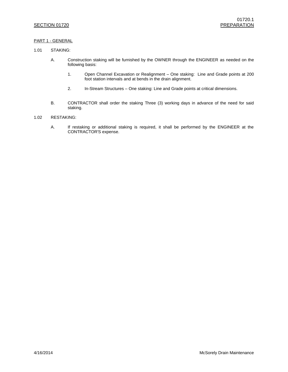## PART 1 - GENERAL

#### 1.01 STAKING:

- A. Construction staking will be furnished by the OWNER through the ENGINEER as needed on the following basis:
	- 1. Open Channel Excavation or Realignment One staking: Line and Grade points at 200 foot station intervals and at bends in the drain alignment.
	- 2. In-Stream Structures One staking: Line and Grade points at critical dimensions.
- B. CONTRACTOR shall order the staking Three (3) working days in advance of the need for said staking.

# 1.02 RESTAKING:

A. If restaking or additional staking is required, it shall be performed by the ENGINEER at the CONTRACTOR'S expense.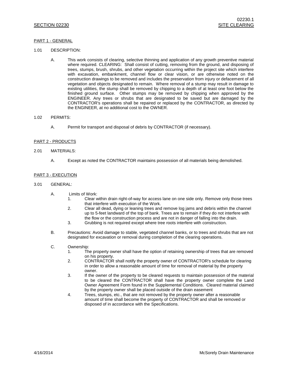### PART 1 - GENERAL

- 1.01 DESCRIPTION:
	- A. This work consists of clearing, selective thinning and application of any growth preventive material where required. CLEARING: Shall consist of cutting, removing from the ground, and disposing of trees, stumps, brush, shrubs, and other vegetation occurring within the project site which interfere with excavation, embankment, channel flow or clear vision, or are otherwise noted on the construction drawings to be removed and includes the preservation from injury or defacement of all vegetation and objects designated to remain. Where removal of a stump may result in damage to existing utilities, the stump shall be removed by chipping to a depth of at least one foot below the finished ground surface. Other stumps may be removed by chipping when approved by the ENGINEER. Any trees or shrubs that are designated to be saved but are damaged by the CONTRACTOR's operations shall be repaired or replaced by the CONTRACTOR, as directed by the ENGINEER, at no additional cost to the OWNER.

#### 1.02 PERMITS:

A. Permit for transport and disposal of debris by CONTRACTOR (if necessary).

#### PART 2 - PRODUCTS

- 2.01 MATERIALS:
	- A. Except as noted the CONTRACTOR maintains possession of all materials being demolished.

#### PART 3 - EXECUTION

#### 3.01 GENERAL:

- A. Limits of Work:
	- 1. Clear within drain right-of-way for access lane on one side only. Remove only those trees that interfere with execution of the Work.
	- 2. Clear all dead, dying or leaning trees and remove log jams and debris within the channel up to 5-feet landward of the top of bank. Trees are to remain if they do not interfere with the flow or the construction process and are not in danger of falling into the drain.
	- 3. Grubbing is not required except where tree roots interfere with construction.
- B. Precautions: Avoid damage to stable, vegetated channel banks, or to trees and shrubs that are not designated for excavation or removal during completion of the clearing operations.

#### C. Ownership:

- 1. The property owner shall have the option of retaining ownership of trees that are removed on his property.
- 2. CONTRACTOR shall notify the property owner of CONTRACTOR's schedule for clearing in order to allow a reasonable amount of time for removal of material by the property owner.
- 3. If the owner of the property to be cleared requests to maintain possession of the material to be cleared the CONTRACTOR shall have the property owner complete the Land Owner Agreement Form found in the Supplemental Conditions. Cleared material claimed by the property owner shall be placed outside of the drain easement
- 4. Trees, stumps, etc., that are not removed by the property owner after a reasonable amount of time shall become the property of CONTRACTOR and shall be removed or disposed of in accordance with the Specifications.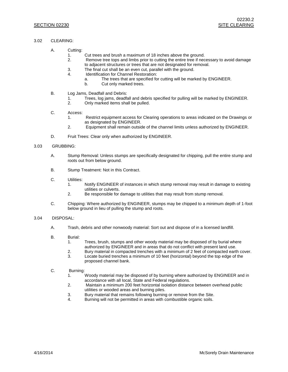- 3.02 CLEARING:
	- A. Cutting:
		- 1. Cut trees and brush a maximum of 18 inches above the ground.
		- 2. Remove tree tops and limbs prior to cutting the entire tree if necessary to avoid damage to adjacent structures or trees that are not designated for removal.
		- 3. The final cut shall be an even cut, parallel with the ground.
		- 4. Identification for Channel Restoration:
			- a. The trees that are specified for cutting will be marked by ENGINEER.
			- b. Cut only marked trees.
	- B. Log Jams, Deadfall and Debris:
		- 1. Trees, log jams, deadfall and debris specified for pulling will be marked by ENGINEER.<br>2. Only marked items shall be pulled.
		- 2. Only marked items shall be pulled.
	- C. Access:
		- 1. Restrict equipment access for Clearing operations to areas indicated on the Drawings or as designated by ENGINEER.
		- 2. Equipment shall remain outside of the channel limits unless authorized by ENGINEER.
	- D. Fruit Trees: Clear only when authorized by ENGINEER.

#### 3.03 GRUBBING:

- A. Stump Removal: Unless stumps are specifically designated for chipping, pull the entire stump and roots out from below ground.
- B. Stump Treatment: Not in this Contract.
- C. Utilities:
	- 1. Notify ENGINEER of instances in which stump removal may result in damage to existing utilities or culverts.
	- 2. Be responsible for damage to utilities that may result from stump removal.
- C. Chipping: Where authorized by ENGINEER, stumps may be chipped to a minimum depth of 1-foot below ground in lieu of pulling the stump and roots.

#### 3.04 DISPOSAL:

- A. Trash, debris and other nonwoody material: Sort out and dispose of in a licensed landfill.
- B. Burial:
	- 1. Trees, brush, stumps and other woody material may be disposed of by burial where authorized by ENGINEER and in areas that do not conflict with present land use.
	- 2. Bury material in compacted trenches with a minimum of 2 feet of compacted earth cover.
	- 3. Locate buried trenches a minimum of 10 feet (horizontal) beyond the top edge of the proposed channel bank.

#### C. Burning:

- 1. Woody material may be disposed of by burning where authorized by ENGINEER and in accordance with all local, State and Federal regulations.
- 2. Maintain a minimum 200 feet horizontal isolation distance between overhead public utilities or wooded areas and burning piles.
- 3. Bury material that remains following burning or remove from the Site.<br>4 Burning will not be permitted in areas with combustible organic soils
- Burning will not be permitted in areas with combustible organic soils.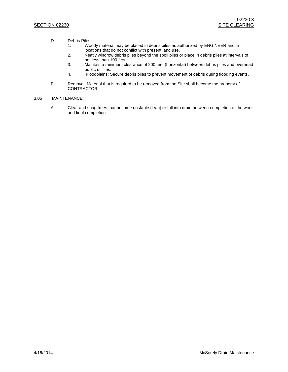- D. Debris Piles:
	- 1. Woody material may be placed in debris piles as authorized by ENGINEER and in locations that do not conflict with present land use.
	- 2. Neatly windrow debris piles beyond the spoil piles or place in debris piles at intervals of not less than 100 feet.
	- 3. Maintain a minimum clearance of 200 feet (horizontal) between debris piles and overhead public utilities.
	- 4. Floodplains: Secure debris piles to prevent movement of debris during flooding events.
- E. Removal: Material that is required to be removed from the Site shall become the property of CONTRACTOR.

### 3.05 MAINTENANCE:

A. Clear and snag trees that become unstable (lean) or fall into drain between completion of the work and final completion.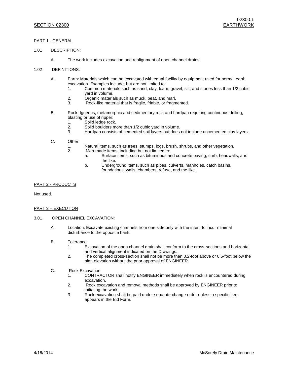### PART 1 - GENERAL

- 1.01 DESCRIPTION:
	- A. The work includes excavation and realignment of open channel drains.
- 1.02 DEFINITIONS:
	- A. Earth: Materials which can be excavated with equal facility by equipment used for normal earth excavation. Examples include, but are not limited to:
		- 1. Common materials such as sand, clay, loam, gravel, silt, and stones less than 1/2 cubic yard in volume.
		- 2. Organic materials such as muck, peat, and marl.
		- 3. Rock-like material that is fragile, friable, or fragmented.
	- B. Rock: Igneous, metamorphic and sedimentary rock and hardpan requiring continuous drilling, blasting or use of ripper:
		- 1. Solid ledge rock.
		- 2. Solid boulders more than 1/2 cubic yard in volume.<br>3 Hardpan consists of cemented soil layers but does
		- Hardpan consists of cemented soil layers but does not include uncemented clay layers.
	- C. Other:
		- 1. Natural items, such as trees, stumps, logs, brush, shrubs, and other vegetation.
		- 2. Man-made items, including but not limited to:
			- a. Surface items, such as bituminous and concrete paving, curb, headwalls, and the like.
			- b. Underground items, such as pipes, culverts, manholes, catch basins, foundations, walls, chambers, refuse, and the like.

#### PART 2 - PRODUCTS

Not used.

#### PART 3 – EXECUTION

#### 3.01 OPEN CHANNEL EXCAVATION:

- A. Location: Excavate existing channels from one side only with the intent to incur minimal disturbance to the opposite bank.
- B. Tolerance:
	- 1. Excavation of the open channel drain shall conform to the cross-sections and horizontal and vertical alignment indicated on the Drawings.
	- 2. The completed cross-section shall not be more than 0.2-foot above or 0.5-foot below the plan elevation without the prior approval of ENGINEER.

#### C. Rock Excavation:

- 1. CONTRACTOR shall notify ENGINEER immediately when rock is encountered during excavation.
- 2. Rock excavation and removal methods shall be approved by ENGINEER prior to initiating the work.
- 3. Rock excavation shall be paid under separate change order unless a specific item appears in the Bid Form.